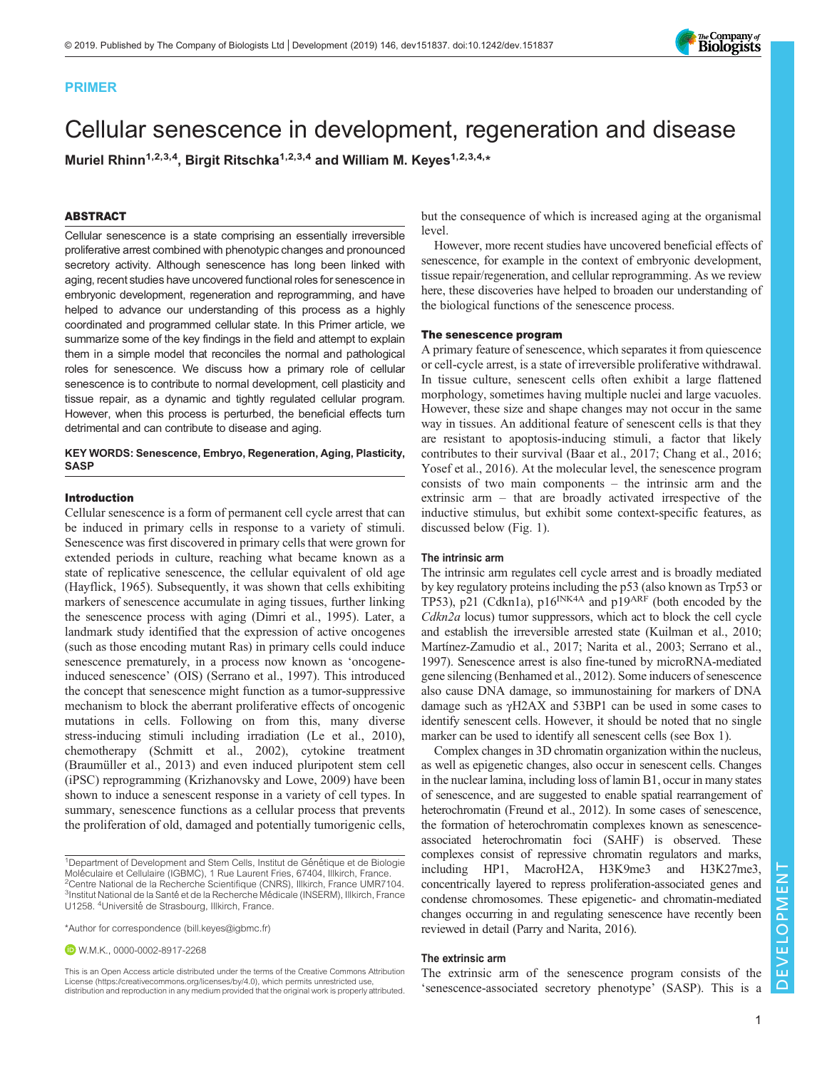

# PRIMER

# Cellular senescence in development, regeneration and disease

Muriel Rhinn<sup>1,2,3,4</sup>, Birgit Ritschka<sup>1,2,3,4</sup> and William M. Keyes<sup>1,2,3,4,\*</sup>

# ABSTRACT

Cellular senescence is a state comprising an essentially irreversible proliferative arrest combined with phenotypic changes and pronounced secretory activity. Although senescence has long been linked with aging, recent studies have uncovered functional roles for senescence in embryonic development, regeneration and reprogramming, and have helped to advance our understanding of this process as a highly coordinated and programmed cellular state. In this Primer article, we summarize some of the key findings in the field and attempt to explain them in a simple model that reconciles the normal and pathological roles for senescence. We discuss how a primary role of cellular senescence is to contribute to normal development, cell plasticity and tissue repair, as a dynamic and tightly regulated cellular program. However, when this process is perturbed, the beneficial effects turn detrimental and can contribute to disease and aging.

# KEY WORDS: Senescence, Embryo, Regeneration, Aging, Plasticity, **SASP**

## Introduction

Cellular senescence is a form of permanent cell cycle arrest that can be induced in primary cells in response to a variety of stimuli. Senescence was first discovered in primary cells that were grown for extended periods in culture, reaching what became known as a state of replicative senescence, the cellular equivalent of old age [\(Hayflick, 1965](#page-8-0)). Subsequently, it was shown that cells exhibiting markers of senescence accumulate in aging tissues, further linking the senescence process with aging ([Dimri et al., 1995\)](#page-7-0). Later, a landmark study identified that the expression of active oncogenes (such as those encoding mutant Ras) in primary cells could induce senescence prematurely, in a process now known as 'oncogeneinduced senescence' (OIS) [\(Serrano et al., 1997\)](#page-9-0). This introduced the concept that senescence might function as a tumor-suppressive mechanism to block the aberrant proliferative effects of oncogenic mutations in cells. Following on from this, many diverse stress-inducing stimuli including irradiation [\(Le et al., 2010\)](#page-8-0), chemotherapy ([Schmitt et al., 2002](#page-9-0)), cytokine treatment [\(Braumüller et al., 2013\)](#page-7-0) and even induced pluripotent stem cell (iPSC) reprogramming ([Krizhanovsky and Lowe, 2009](#page-8-0)) have been shown to induce a senescent response in a variety of cell types. In summary, senescence functions as a cellular process that prevents the proliferation of old, damaged and potentially tumorigenic cells,

W.M.K., [0000-0002-8917-2268](http://orcid.org/0000-0002-8917-2268)

but the consequence of which is increased aging at the organismal level.

However, more recent studies have uncovered beneficial effects of senescence, for example in the context of embryonic development, tissue repair/regeneration, and cellular reprogramming. As we review here, these discoveries have helped to broaden our understanding of the biological functions of the senescence process.

# The senescence program

A primary feature of senescence, which separates it from quiescence or cell-cycle arrest, is a state of irreversible proliferative withdrawal. In tissue culture, senescent cells often exhibit a large flattened morphology, sometimes having multiple nuclei and large vacuoles. However, these size and shape changes may not occur in the same way in tissues. An additional feature of senescent cells is that they are resistant to apoptosis-inducing stimuli, a factor that likely contributes to their survival ([Baar et al., 2017; Chang et al., 2016](#page-7-0); [Yosef et al., 2016\)](#page-9-0). At the molecular level, the senescence program consists of two main components – the intrinsic arm and the extrinsic arm – that are broadly activated irrespective of the inductive stimulus, but exhibit some context-specific features, as discussed below [\(Fig. 1\)](#page-1-0).

### The intrinsic arm

The intrinsic arm regulates cell cycle arrest and is broadly mediated by key regulatory proteins including the p53 (also known as Trp53 or TP53), p21 ([Cdkn1a\)](http://www.informatics.jax.org/marker/key/24722), p16<sup>INK4A</sup> and p19<sup>ARF</sup> (both encoded by the Cdkn2a locus) tumor suppressors, which act to block the cell cycle and establish the irreversible arrested state [\(Kuilman et al., 2010](#page-8-0); [Martínez-Zamudio et al., 2017; Narita et al., 2003; Serrano et al.,](#page-9-0) [1997\)](#page-9-0). Senescence arrest is also fine-tuned by microRNA-mediated gene silencing [\(Benhamed et al., 2012\)](#page-7-0). Some inducers of senescence also cause DNA damage, so immunostaining for markers of DNA damage such as γH2AX and 53BP1 can be used in some cases to identify senescent cells. However, it should be noted that no single marker can be used to identify all senescent cells (see [Box 1\)](#page-2-0).

Complex changes in 3D chromatin organization within the nucleus, as well as epigenetic changes, also occur in senescent cells. Changes in the nuclear lamina, including loss of lamin B1, occur in many states of senescence, and are suggested to enable spatial rearrangement of heterochromatin ([Freund et al., 2012](#page-8-0)). In some cases of senescence, the formation of heterochromatin complexes known as senescenceassociated heterochromatin foci (SAHF) is observed. These complexes consist of repressive chromatin regulators and marks, including HP1, MacroH2A, H3K9me3 and H3K27me3, concentrically layered to repress proliferation-associated genes and condense chromosomes. These epigenetic- and chromatin-mediated changes occurring in and regulating senescence have recently been reviewed in detail ([Parry and Narita, 2016](#page-9-0)).

# The extrinsic arm

The extrinsic arm of the senescence program consists of the 'senescence-associated secretory phenotype' (SASP). This is a

<sup>&</sup>lt;sup>1</sup>Department of Development and Stem Cells, Institut de Génétique et de Biologie Moléculaire et Cellulaire (IGBMC), 1 Rue Laurent Fries, 67404, Illkirch, France.<br><sup>2</sup>Centre National de la Recherche Scientifique (CNRS), Illkirch, France UMR7104. <sup>3</sup>Institut National de la Santé et de la Recherche Médicale (INSERM), Illkirch, France U1258. <sup>4</sup>Université de Strasbourg, Illkirch, France.

<sup>\*</sup>Author for correspondence [\(bill.keyes@igbmc.fr](mailto:bill.keyes@igbmc.fr))

This is an Open Access article distributed under the terms of the Creative Commons Attribution License (https://creativecommons.org/licenses/by/4.0), which permits unrestricted use, distribution and reproduction in any medium provided that the original work is properly attributed.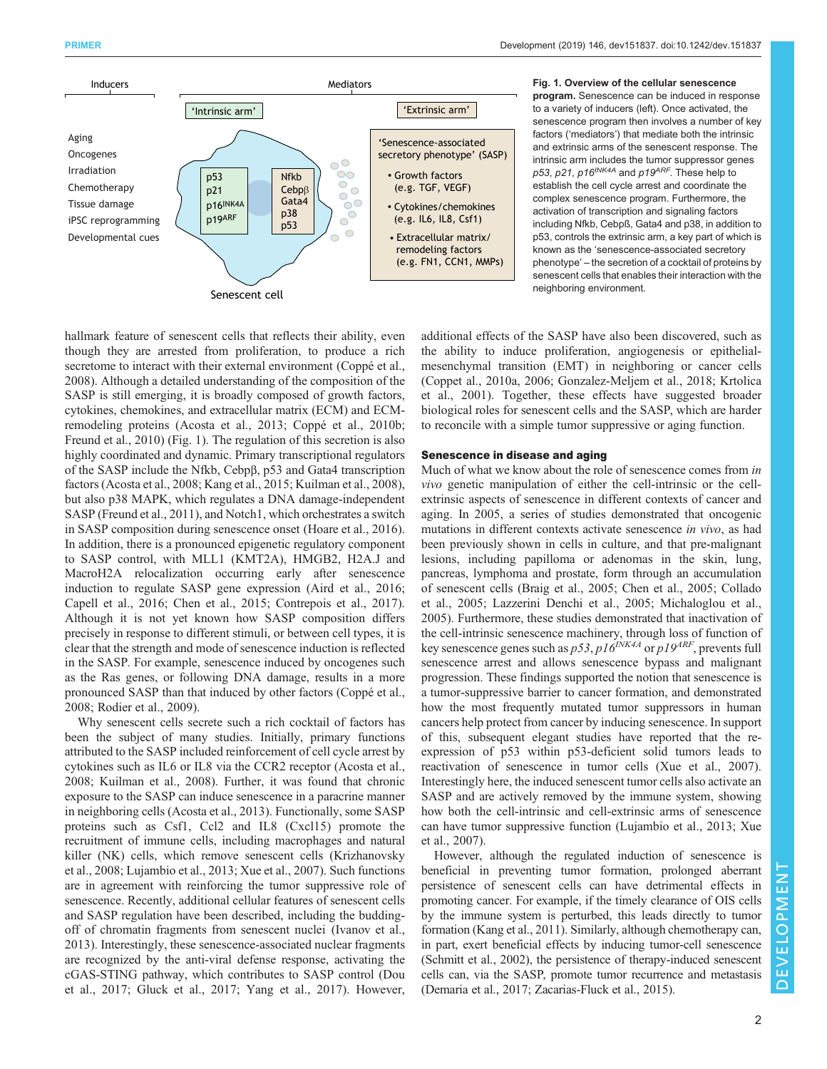<span id="page-1-0"></span>

Fig. 1. Overview of the cellular senescence program. Senescence can be induced in response to a variety of inducers (left). Once activated, the senescence program then involves a number of key factors ('mediators') that mediate both the intrinsic and extrinsic arms of the senescent response. The intrinsic arm includes the tumor suppressor genes p53, p21, p16<sup>INK4A</sup> and p19<sup>ARF</sup>. These help to establish the cell cycle arrest and coordinate the complex senescence program. Furthermore, the activation of transcription and signaling factors including Nfkb, Cebpß, Gata4 and p38, in addition to p53, controls the extrinsic arm, a key part of which is known as the 'senescence-associated secretory phenotype' – the secretion of a cocktail of proteins by senescent cells that enables their interaction with the neighboring environment.

hallmark feature of senescent cells that reflects their ability, even though they are arrested from proliferation, to produce a rich secretome to interact with their external environment [\(Coppé et al.,](#page-7-0) [2008](#page-7-0)). Although a detailed understanding of the composition of the SASP is still emerging, it is broadly composed of growth factors, cytokines, chemokines, and extracellular matrix (ECM) and ECMremodeling proteins [\(Acosta et al., 2013; Coppé et al., 2010b](#page-7-0); [Freund et al., 2010\)](#page-8-0) (Fig. 1). The regulation of this secretion is also highly coordinated and dynamic. Primary transcriptional regulators of the SASP include the Nfkb, Cebpβ, p53 and Gata4 transcription factors [\(Acosta et al., 2008;](#page-7-0) [Kang et al., 2015](#page-8-0); [Kuilman et al., 2008\)](#page-8-0), but also p38 MAPK, which regulates a DNA damage-independent SASP [\(Freund et al., 2011](#page-8-0)), and Notch1, which orchestrates a switch in SASP composition during senescence onset ([Hoare et al., 2016\)](#page-8-0). In addition, there is a pronounced epigenetic regulatory component to SASP control, with MLL1 (KMT2A), HMGB2, H2A.J and MacroH2A relocalization occurring early after senescence induction to regulate SASP gene expression [\(Aird et al., 2016](#page-7-0); [Capell et al., 2016; Chen et al., 2015; Contrepois et al., 2017\)](#page-7-0). Although it is not yet known how SASP composition differs precisely in response to different stimuli, or between cell types, it is clear that the strength and mode of senescence induction is reflected in the SASP. For example, senescence induced by oncogenes such as the Ras genes, or following DNA damage, results in a more pronounced SASP than that induced by other factors [\(Coppé et al.,](#page-7-0) [2008](#page-7-0); [Rodier et al., 2009\)](#page-9-0).

Why senescent cells secrete such a rich cocktail of factors has been the subject of many studies. Initially, primary functions attributed to the SASP included reinforcement of cell cycle arrest by cytokines such as IL6 or IL8 via the CCR2 receptor ([Acosta et al.,](#page-7-0) [2008](#page-7-0); [Kuilman et al., 2008](#page-8-0)). Further, it was found that chronic exposure to the SASP can induce senescence in a paracrine manner in neighboring cells [\(Acosta et al., 2013](#page-7-0)). Functionally, some SASP proteins such as Csf1, Ccl2 and IL8 (Cxcl15) promote the recruitment of immune cells, including macrophages and natural killer (NK) cells, which remove senescent cells [\(Krizhanovsky](#page-8-0) [et al., 2008](#page-8-0); [Lujambio et al., 2013](#page-8-0); [Xue et al., 2007\)](#page-9-0). Such functions are in agreement with reinforcing the tumor suppressive role of senescence. Recently, additional cellular features of senescent cells and SASP regulation have been described, including the buddingoff of chromatin fragments from senescent nuclei [\(Ivanov et al.,](#page-8-0) [2013](#page-8-0)). Interestingly, these senescence-associated nuclear fragments are recognized by the anti-viral defense response, activating the cGAS-STING pathway, which contributes to SASP control ([Dou](#page-7-0) [et al., 2017](#page-7-0); [Gluck et al., 2017](#page-8-0); [Yang et al., 2017\)](#page-9-0). However,

additional effects of the SASP have also been discovered, such as the ability to induce proliferation, angiogenesis or epithelialmesenchymal transition (EMT) in neighboring or cancer cells [\(Coppet al., 2010a](#page-7-0), [2006;](#page-7-0) [Gonzalez-Meljem et al., 2018; Krtolica](#page-8-0) [et al., 2001\)](#page-8-0). Together, these effects have suggested broader biological roles for senescent cells and the SASP, which are harder to reconcile with a simple tumor suppressive or aging function.

# Senescence in disease and aging

Much of what we know about the role of senescence comes from in vivo genetic manipulation of either the cell-intrinsic or the cellextrinsic aspects of senescence in different contexts of cancer and aging. In 2005, a series of studies demonstrated that oncogenic mutations in different contexts activate senescence *in vivo*, as had been previously shown in cells in culture, and that pre-malignant lesions, including papilloma or adenomas in the skin, lung, pancreas, lymphoma and prostate, form through an accumulation of senescent cells [\(Braig et al., 2005; Chen et al., 2005](#page-7-0); [Collado](#page-7-0) [et al., 2005;](#page-7-0) [Lazzerini Denchi et al., 2005;](#page-8-0) [Michaloglou et al.,](#page-9-0) [2005\)](#page-9-0). Furthermore, these studies demonstrated that inactivation of the cell-intrinsic senescence machinery, through loss of function of key senescence genes such as  $p53$ ,  $p16^{INK4A}$  or  $p19^{ARI}$ , prevents full senescence arrest and allows senescence bypass and malignant progression. These findings supported the notion that senescence is a tumor-suppressive barrier to cancer formation, and demonstrated how the most frequently mutated tumor suppressors in human cancers help protect from cancer by inducing senescence. In support of this, subsequent elegant studies have reported that the reexpression of p53 within p53-deficient solid tumors leads to reactivation of senescence in tumor cells ([Xue et al., 2007\)](#page-9-0). Interestingly here, the induced senescent tumor cells also activate an SASP and are actively removed by the immune system, showing how both the cell-intrinsic and cell-extrinsic arms of senescence can have tumor suppressive function ([Lujambio et al., 2013](#page-8-0); [Xue](#page-9-0) [et al., 2007\)](#page-9-0).

However, although the regulated induction of senescence is beneficial in preventing tumor formation, prolonged aberrant persistence of senescent cells can have detrimental effects in promoting cancer. For example, if the timely clearance of OIS cells by the immune system is perturbed, this leads directly to tumor formation [\(Kang et al., 2011](#page-8-0)). Similarly, although chemotherapy can, in part, exert beneficial effects by inducing tumor-cell senescence [\(Schmitt et al., 2002](#page-9-0)), the persistence of therapy-induced senescent cells can, via the SASP, promote tumor recurrence and metastasis [\(Demaria et al., 2017;](#page-7-0) [Zacarias-Fluck et al., 2015\)](#page-9-0).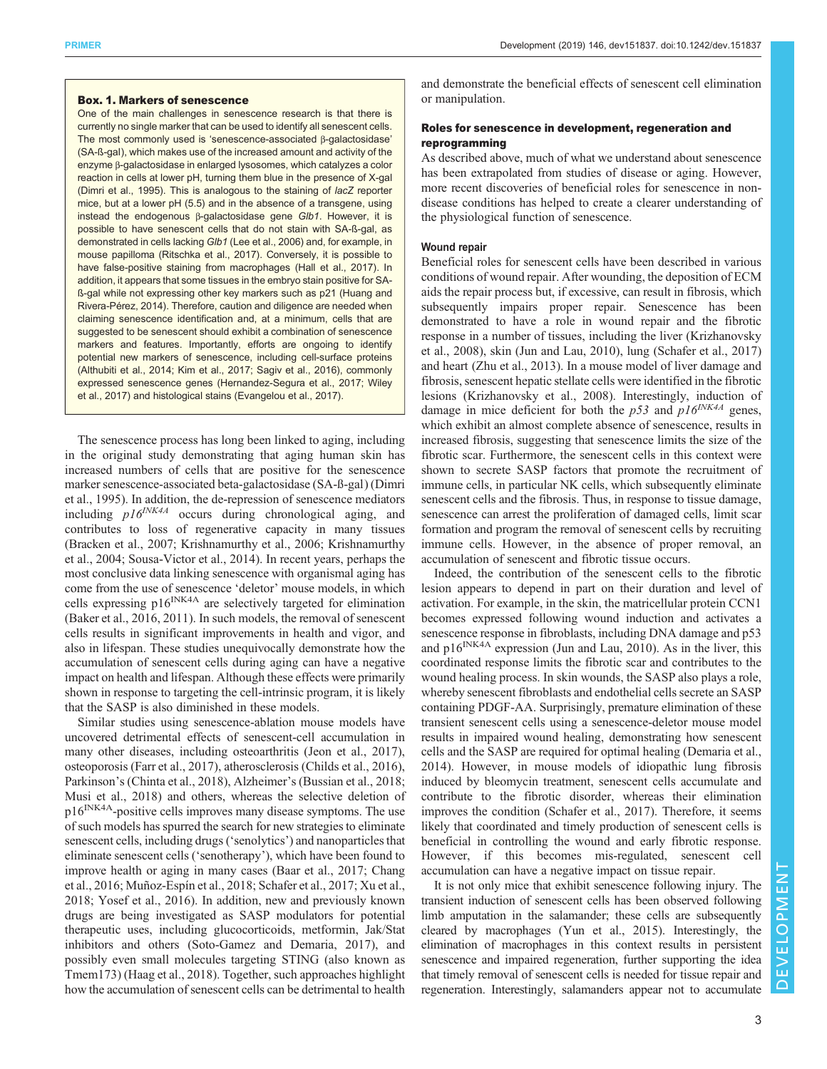# <span id="page-2-0"></span>Box. 1. Markers of senescence

One of the main challenges in senescence research is that there is currently no single marker that can be used to identify all senescent cells. The most commonly used is 'senescence-associated β-galactosidase' (SA-ß-gal), which makes use of the increased amount and activity of the enzyme β-galactosidase in enlarged lysosomes, which catalyzes a color reaction in cells at lower pH, turning them blue in the presence of X-gal ([Dimri et al., 1995](#page-7-0)). This is analogous to the staining of lacZ reporter mice, but at a lower pH (5.5) and in the absence of a transgene, using instead the endogenous β-galactosidase gene Glb1. However, it is possible to have senescent cells that do not stain with SA-ß-gal, as demonstrated in cells lacking Glb1 ([Lee et al., 2006\)](#page-8-0) and, for example, in mouse papilloma ([Ritschka et al., 2017\)](#page-9-0). Conversely, it is possible to have false-positive staining from macrophages ([Hall et al., 2017](#page-8-0)). In addition, it appears that some tissues in the embryo stain positive for SAß-gal while not expressing other key markers such as p21 ([Huang and](#page-8-0) [Rivera-Pérez, 2014\)](#page-8-0). Therefore, caution and diligence are needed when claiming senescence identification and, at a minimum, cells that are suggested to be senescent should exhibit a combination of senescence markers and features. Importantly, efforts are ongoing to identify potential new markers of senescence, including cell-surface proteins ([Althubiti et al., 2014](#page-7-0); [Kim et al., 2017](#page-8-0); [Sagiv et al., 2016](#page-9-0)), commonly expressed senescence genes [\(Hernandez-Segura et al., 2017;](#page-8-0) [Wiley](#page-9-0) [et al., 2017](#page-9-0)) and histological stains ([Evangelou et al., 2017](#page-7-0)).

The senescence process has long been linked to aging, including in the original study demonstrating that aging human skin has increased numbers of cells that are positive for the senescence marker senescence-associated beta-galactosidase (SA-ß-gal) ([Dimri](#page-7-0) [et al., 1995\)](#page-7-0). In addition, the de-repression of senescence mediators including  $p16^{INK4A}$  occurs during chronological aging, and contributes to loss of regenerative capacity in many tissues [\(Bracken et al., 2007](#page-7-0); [Krishnamurthy et al., 2006](#page-8-0); [Krishnamurthy](#page-8-0) [et al., 2004](#page-8-0); [Sousa-Victor et al., 2014](#page-9-0)). In recent years, perhaps the most conclusive data linking senescence with organismal aging has come from the use of senescence 'deletor' mouse models, in which cells expressing  $p16^{INK4A}$  are selectively targeted for elimination [\(Baker et al., 2016](#page-7-0), [2011\)](#page-7-0). In such models, the removal of senescent cells results in significant improvements in health and vigor, and also in lifespan. These studies unequivocally demonstrate how the accumulation of senescent cells during aging can have a negative impact on health and lifespan. Although these effects were primarily shown in response to targeting the cell-intrinsic program, it is likely that the SASP is also diminished in these models.

Similar studies using senescence-ablation mouse models have uncovered detrimental effects of senescent-cell accumulation in many other diseases, including osteoarthritis [\(Jeon et al., 2017\)](#page-8-0), osteoporosis ([Farr et al., 2017\)](#page-7-0), atherosclerosis [\(Childs et al., 2016\)](#page-7-0), Parkinson's [\(Chinta et al., 2018\)](#page-7-0), Alzheimer's [\(Bussian et al., 2018](#page-7-0); [Musi et al., 2018\)](#page-9-0) and others, whereas the selective deletion of p16INK4A-positive cells improves many disease symptoms. The use of such models has spurred the search for new strategies to eliminate senescent cells, including drugs ('senolytics') and nanoparticles that eliminate senescent cells ('senotherapy'), which have been found to improve health or aging in many cases ([Baar et al., 2017](#page-7-0); Chang et al., 2016; [Muñoz-Espín et al., 2018](#page-9-0); [Schafer et al., 2017](#page-9-0); [Xu et al.,](#page-9-0) [2018](#page-9-0); [Yosef et al., 2016](#page-9-0)). In addition, new and previously known drugs are being investigated as SASP modulators for potential therapeutic uses, including glucocorticoids, metformin, Jak/Stat inhibitors and others [\(Soto-Gamez and Demaria, 2017\)](#page-9-0), and possibly even small molecules targeting STING (also known as [Tmem173\)](http://www.informatics.jax.org/marker/MGI:1919762) ([Haag et al., 2018\)](#page-8-0). Together, such approaches highlight how the accumulation of senescent cells can be detrimental to health

and demonstrate the beneficial effects of senescent cell elimination or manipulation.

# Roles for senescence in development, regeneration and reprogramming

As described above, much of what we understand about senescence has been extrapolated from studies of disease or aging. However, more recent discoveries of beneficial roles for senescence in nondisease conditions has helped to create a clearer understanding of the physiological function of senescence.

# Wound repair

Beneficial roles for senescent cells have been described in various conditions of wound repair. After wounding, the deposition of ECM aids the repair process but, if excessive, can result in fibrosis, which subsequently impairs proper repair. Senescence has been demonstrated to have a role in wound repair and the fibrotic response in a number of tissues, including the liver [\(Krizhanovsky](#page-8-0) [et al., 2008\)](#page-8-0), skin ([Jun and Lau, 2010](#page-8-0)), lung ([Schafer et al., 2017\)](#page-9-0) and heart ([Zhu et al., 2013\)](#page-9-0). In a mouse model of liver damage and fibrosis, senescent hepatic stellate cells were identified in the fibrotic lesions [\(Krizhanovsky et al., 2008\)](#page-8-0). Interestingly, induction of damage in mice deficient for both the  $p53$  and  $p16^{INK4A}$  genes, which exhibit an almost complete absence of senescence, results in increased fibrosis, suggesting that senescence limits the size of the fibrotic scar. Furthermore, the senescent cells in this context were shown to secrete SASP factors that promote the recruitment of immune cells, in particular NK cells, which subsequently eliminate senescent cells and the fibrosis. Thus, in response to tissue damage, senescence can arrest the proliferation of damaged cells, limit scar formation and program the removal of senescent cells by recruiting immune cells. However, in the absence of proper removal, an accumulation of senescent and fibrotic tissue occurs.

Indeed, the contribution of the senescent cells to the fibrotic lesion appears to depend in part on their duration and level of activation. For example, in the skin, the matricellular protein CCN1 becomes expressed following wound induction and activates a senescence response in fibroblasts, including DNA damage and p53 and  $p16^{INK4A}$  expression [\(Jun and Lau, 2010](#page-8-0)). As in the liver, this coordinated response limits the fibrotic scar and contributes to the wound healing process. In skin wounds, the SASP also plays a role, whereby senescent fibroblasts and endothelial cells secrete an SASP containing PDGF-AA. Surprisingly, premature elimination of these transient senescent cells using a senescence-deletor mouse model results in impaired wound healing, demonstrating how senescent cells and the SASP are required for optimal healing ([Demaria et al.,](#page-7-0) [2014\)](#page-7-0). However, in mouse models of idiopathic lung fibrosis induced by bleomycin treatment, senescent cells accumulate and contribute to the fibrotic disorder, whereas their elimination improves the condition [\(Schafer et al., 2017\)](#page-9-0). Therefore, it seems likely that coordinated and timely production of senescent cells is beneficial in controlling the wound and early fibrotic response. However, if this becomes mis-regulated, senescent cell accumulation can have a negative impact on tissue repair.

It is not only mice that exhibit senescence following injury. The transient induction of senescent cells has been observed following limb amputation in the salamander; these cells are subsequently cleared by macrophages ([Yun et al., 2015](#page-9-0)). Interestingly, the elimination of macrophages in this context results in persistent senescence and impaired regeneration, further supporting the idea that timely removal of senescent cells is needed for tissue repair and regeneration. Interestingly, salamanders appear not to accumulate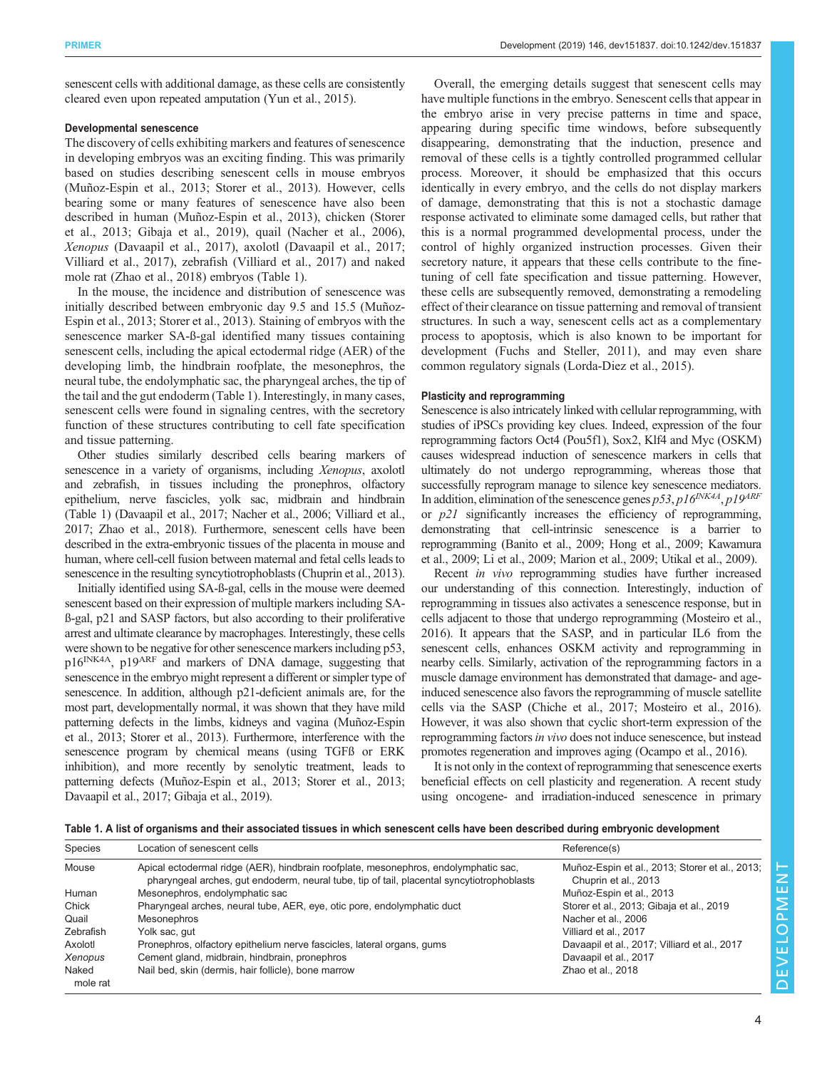senescent cells with additional damage, as these cells are consistently cleared even upon repeated amputation [\(Yun et al., 2015\)](#page-9-0).

# Developmental senescence

The discovery of cells exhibiting markers and features of senescence in developing embryos was an exciting finding. This was primarily based on studies describing senescent cells in mouse embryos [\(Muñoz-Espin et al., 2013; Storer et al., 2013](#page-9-0)). However, cells bearing some or many features of senescence have also been described in human ([Muñoz-Espin et al., 2013\)](#page-9-0), chicken [\(Storer](#page-9-0) [et al., 2013;](#page-9-0) [Gibaja et al., 2019](#page-8-0)), quail [\(Nacher et al., 2006\)](#page-9-0), Xenopus ([Davaapil et al., 2017](#page-7-0)), axolotl [\(Davaapil et al., 2017](#page-7-0); [Villiard et al., 2017\)](#page-9-0), zebrafish ([Villiard et al., 2017](#page-9-0)) and naked mole rat [\(Zhao et al., 2018\)](#page-9-0) embryos (Table 1).

In the mouse, the incidence and distribution of senescence was initially described between embryonic day 9.5 and 15.5 [\(Muñoz-](#page-9-0)[Espin et al., 2013](#page-9-0); [Storer et al., 2013](#page-9-0)). Staining of embryos with the senescence marker SA-ß-gal identified many tissues containing senescent cells, including the apical ectodermal ridge (AER) of the developing limb, the hindbrain roofplate, the mesonephros, the neural tube, the endolymphatic sac, the pharyngeal arches, the tip of the tail and the gut endoderm (Table 1). Interestingly, in many cases, senescent cells were found in signaling centres, with the secretory function of these structures contributing to cell fate specification and tissue patterning.

Other studies similarly described cells bearing markers of senescence in a variety of organisms, including Xenopus, axolotl and zebrafish, in tissues including the pronephros, olfactory epithelium, nerve fascicles, yolk sac, midbrain and hindbrain (Table 1) [\(Davaapil et al., 2017;](#page-7-0) [Nacher et al., 2006; Villiard et al.,](#page-9-0) [2017](#page-9-0); [Zhao et al., 2018\)](#page-9-0). Furthermore, senescent cells have been described in the extra-embryonic tissues of the placenta in mouse and human, where cell-cell fusion between maternal and fetal cells leads to senescence in the resulting syncytiotrophoblasts ([Chuprin et al., 2013\)](#page-7-0).

Initially identified using SA-ß-gal, cells in the mouse were deemed senescent based on their expression of multiple markers including SAß-gal, p21 and SASP factors, but also according to their proliferative arrest and ultimate clearance by macrophages. Interestingly, these cells were shown to be negative for other senescence markers including p53, p16<sup>INK4A</sup>, p19<sup>ARF</sup> and markers of DNA damage, suggesting that senescence in the embryo might represent a different or simpler type of senescence. In addition, although p21-deficient animals are, for the most part, developmentally normal, it was shown that they have mild patterning defects in the limbs, kidneys and vagina [\(Muñoz-Espin](#page-9-0) [et al., 2013; Storer et al., 2013](#page-9-0)). Furthermore, interference with the senescence program by chemical means (using TGFß or ERK inhibition), and more recently by senolytic treatment, leads to patterning defects [\(Muñoz-Espin et al., 2013](#page-9-0); [Storer et al., 2013](#page-9-0); [Davaapil et al., 2017](#page-7-0); [Gibaja et al., 2019\)](#page-8-0).

Overall, the emerging details suggest that senescent cells may have multiple functions in the embryo. Senescent cells that appear in the embryo arise in very precise patterns in time and space, appearing during specific time windows, before subsequently disappearing, demonstrating that the induction, presence and removal of these cells is a tightly controlled programmed cellular process. Moreover, it should be emphasized that this occurs identically in every embryo, and the cells do not display markers of damage, demonstrating that this is not a stochastic damage response activated to eliminate some damaged cells, but rather that this is a normal programmed developmental process, under the control of highly organized instruction processes. Given their secretory nature, it appears that these cells contribute to the finetuning of cell fate specification and tissue patterning. However, these cells are subsequently removed, demonstrating a remodeling effect of their clearance on tissue patterning and removal of transient structures. In such a way, senescent cells act as a complementary process to apoptosis, which is also known to be important for development ([Fuchs and Steller, 2011\)](#page-8-0), and may even share common regulatory signals [\(Lorda-Diez et al., 2015\)](#page-8-0).

# Plasticity and reprogramming

Senescence is also intricately linked with cellular reprogramming, with studies of iPSCs providing key clues. Indeed, expression of the four reprogramming factors Oct4 [\(Pou5f1](http://www.informatics.jax.org/marker/MGI:101893)), Sox2, Klf4 and Myc (OSKM) causes widespread induction of senescence markers in cells that ultimately do not undergo reprogramming, whereas those that successfully reprogram manage to silence key senescence mediators. In addition, elimination of the senescence genes  $p53$ ,  $p16^{INK4A}$ ,  $p19^{ARF}$ or  $p21$  significantly increases the efficiency of reprogramming, demonstrating that cell-intrinsic senescence is a barrier to reprogramming [\(Banito et al., 2009](#page-7-0); [Hong et al., 2009](#page-8-0); [Kawamura](#page-8-0) [et al., 2009; Li et al., 2009](#page-8-0); [Marion et al., 2009;](#page-8-0) [Utikal et al., 2009\)](#page-9-0).

Recent in vivo reprogramming studies have further increased our understanding of this connection. Interestingly, induction of reprogramming in tissues also activates a senescence response, but in cells adjacent to those that undergo reprogramming [\(Mosteiro et al.,](#page-9-0) [2016](#page-9-0)). It appears that the SASP, and in particular IL6 from the senescent cells, enhances OSKM activity and reprogramming in nearby cells. Similarly, activation of the reprogramming factors in a muscle damage environment has demonstrated that damage- and ageinduced senescence also favors the reprogramming of muscle satellite cells via the SASP ([Chiche et al., 2017](#page-7-0); [Mosteiro et al., 2016\)](#page-9-0). However, it was also shown that cyclic short-term expression of the reprogramming factors in vivo does not induce senescence, but instead promotes regeneration and improves aging ([Ocampo et al., 2016\)](#page-9-0).

It is not only in the context of reprogramming that senescence exerts beneficial effects on cell plasticity and regeneration. A recent study using oncogene- and irradiation-induced senescence in primary

Table 1. A list of organisms and their associated tissues in which senescent cells have been described during embryonic development

| Species   | Location of senescent cells                                                                                                                                                      | Reference(s)                                                           |
|-----------|----------------------------------------------------------------------------------------------------------------------------------------------------------------------------------|------------------------------------------------------------------------|
| Mouse     | Apical ectodermal ridge (AER), hindbrain roofplate, mesonephros, endolymphatic sac,<br>pharyngeal arches, gut endoderm, neural tube, tip of tail, placental syncytiotrophoblasts | Muñoz-Espin et al., 2013; Storer et al., 2013;<br>Chuprin et al., 2013 |
| Human     | Mesonephros, endolymphatic sac                                                                                                                                                   | Muñoz-Espin et al., 2013                                               |
| Chick     | Pharyngeal arches, neural tube, AER, eye, otic pore, endolymphatic duct                                                                                                          | Storer et al., 2013; Gibaja et al., 2019                               |
| Quail     | Mesonephros                                                                                                                                                                      | Nacher et al., 2006                                                    |
| Zebrafish | Yolk sac, gut                                                                                                                                                                    | Villiard et al., 2017                                                  |
| Axolotl   | Pronephros, olfactory epithelium nerve fascicles, lateral organs, gums                                                                                                           | Davaapil et al., 2017; Villiard et al., 2017                           |
| Xenopus   | Cement gland, midbrain, hindbrain, pronephros                                                                                                                                    | Davaapil et al., 2017                                                  |
| Naked     | Nail bed, skin (dermis, hair follicle), bone marrow                                                                                                                              | Zhao et al., 2018                                                      |
| mole rat  |                                                                                                                                                                                  |                                                                        |

DEVELOPMENT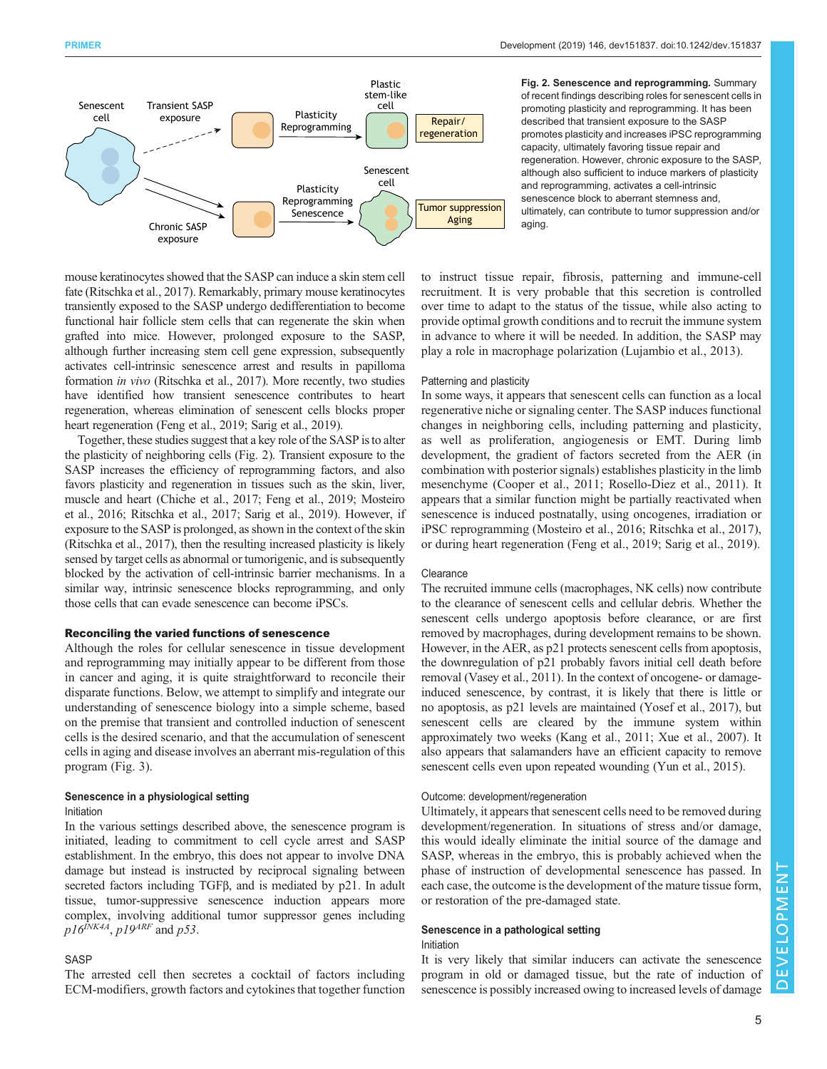

Fig. 2. Senescence and reprogramming. Summary of recent findings describing roles for senescent cells in promoting plasticity and reprogramming. It has been described that transient exposure to the SASP promotes plasticity and increases iPSC reprogramming capacity, ultimately favoring tissue repair and regeneration. However, chronic exposure to the SASP, although also sufficient to induce markers of plasticity and reprogramming, activates a cell-intrinsic senescence block to aberrant stemness and, ultimately, can contribute to tumor suppression and/or aging.

mouse keratinocytes showed that the SASP can induce a skin stem cell fate [\(Ritschka et al., 2017\)](#page-9-0). Remarkably, primary mouse keratinocytes transiently exposed to the SASP undergo dedifferentiation to become functional hair follicle stem cells that can regenerate the skin when grafted into mice. However, prolonged exposure to the SASP, although further increasing stem cell gene expression, subsequently activates cell-intrinsic senescence arrest and results in papilloma formation in vivo [\(Ritschka et al., 2017\)](#page-9-0). More recently, two studies have identified how transient senescence contributes to heart regeneration, whereas elimination of senescent cells blocks proper heart regeneration [\(Feng et al., 2019;](#page-7-0) [Sarig et al., 2019\)](#page-9-0).

Together, these studies suggest that a key role of the SASP is to alter the plasticity of neighboring cells (Fig. 2). Transient exposure to the SASP increases the efficiency of reprogramming factors, and also favors plasticity and regeneration in tissues such as the skin, liver, muscle and heart [\(Chiche et al., 2017](#page-7-0); [Feng et al., 2019](#page-7-0); [Mosteiro](#page-9-0) [et al., 2016; Ritschka et al., 2017](#page-9-0); [Sarig et al., 2019\)](#page-9-0). However, if exposure to the SASP is prolonged, as shown in the context of the skin [\(Ritschka et al., 2017](#page-9-0)), then the resulting increased plasticity is likely sensed by target cells as abnormal or tumorigenic, and is subsequently blocked by the activation of cell-intrinsic barrier mechanisms. In a similar way, intrinsic senescence blocks reprogramming, and only those cells that can evade senescence can become iPSCs.

# Reconciling the varied functions of senescence

Although the roles for cellular senescence in tissue development and reprogramming may initially appear to be different from those in cancer and aging, it is quite straightforward to reconcile their disparate functions. Below, we attempt to simplify and integrate our understanding of senescence biology into a simple scheme, based on the premise that transient and controlled induction of senescent cells is the desired scenario, and that the accumulation of senescent cells in aging and disease involves an aberrant mis-regulation of this program [\(Fig. 3\)](#page-5-0).

## Senescence in a physiological setting Initiation

In the various settings described above, the senescence program is initiated, leading to commitment to cell cycle arrest and SASP establishment. In the embryo, this does not appear to involve DNA damage but instead is instructed by reciprocal signaling between secreted factors including TGFβ, and is mediated by p21. In adult tissue, tumor-suppressive senescence induction appears more complex, involving additional tumor suppressor genes including  $p16^{NKAA}$ ,  $p19^{ARF}$  and  $p53$ .

# SASP

The arrested cell then secretes a cocktail of factors including ECM-modifiers, growth factors and cytokines that together function to instruct tissue repair, fibrosis, patterning and immune-cell recruitment. It is very probable that this secretion is controlled over time to adapt to the status of the tissue, while also acting to provide optimal growth conditions and to recruit the immune system in advance to where it will be needed. In addition, the SASP may play a role in macrophage polarization [\(Lujambio et al., 2013](#page-8-0)).

#### Patterning and plasticity

In some ways, it appears that senescent cells can function as a local regenerative niche or signaling center. The SASP induces functional changes in neighboring cells, including patterning and plasticity, as well as proliferation, angiogenesis or EMT. During limb development, the gradient of factors secreted from the AER (in combination with posterior signals) establishes plasticity in the limb mesenchyme [\(Cooper et al., 2011](#page-7-0); [Rosello-Diez et al., 2011](#page-9-0)). It appears that a similar function might be partially reactivated when senescence is induced postnatally, using oncogenes, irradiation or iPSC reprogramming [\(Mosteiro et al., 2016; Ritschka et al., 2017\)](#page-9-0), or during heart regeneration [\(Feng et al., 2019](#page-7-0); [Sarig et al., 2019\)](#page-9-0).

### **Clearance**

The recruited immune cells (macrophages, NK cells) now contribute to the clearance of senescent cells and cellular debris. Whether the senescent cells undergo apoptosis before clearance, or are first removed by macrophages, during development remains to be shown. However, in the AER, as p21 protects senescent cells from apoptosis, the downregulation of p21 probably favors initial cell death before removal ([Vasey et al., 2011](#page-9-0)). In the context of oncogene- or damageinduced senescence, by contrast, it is likely that there is little or no apoptosis, as p21 levels are maintained ([Yosef et al., 2017\)](#page-9-0), but senescent cells are cleared by the immune system within approximately two weeks ([Kang et al., 2011;](#page-8-0) [Xue et al., 2007\)](#page-9-0). It also appears that salamanders have an efficient capacity to remove senescent cells even upon repeated wounding ([Yun et al., 2015\)](#page-9-0).

# Outcome: development/regeneration

Ultimately, it appears that senescent cells need to be removed during development/regeneration. In situations of stress and/or damage, this would ideally eliminate the initial source of the damage and SASP, whereas in the embryo, this is probably achieved when the phase of instruction of developmental senescence has passed. In each case, the outcome is the development of the mature tissue form, or restoration of the pre-damaged state.

# Senescence in a pathological setting

# Initiation

It is very likely that similar inducers can activate the senescence program in old or damaged tissue, but the rate of induction of senescence is possibly increased owing to increased levels of damage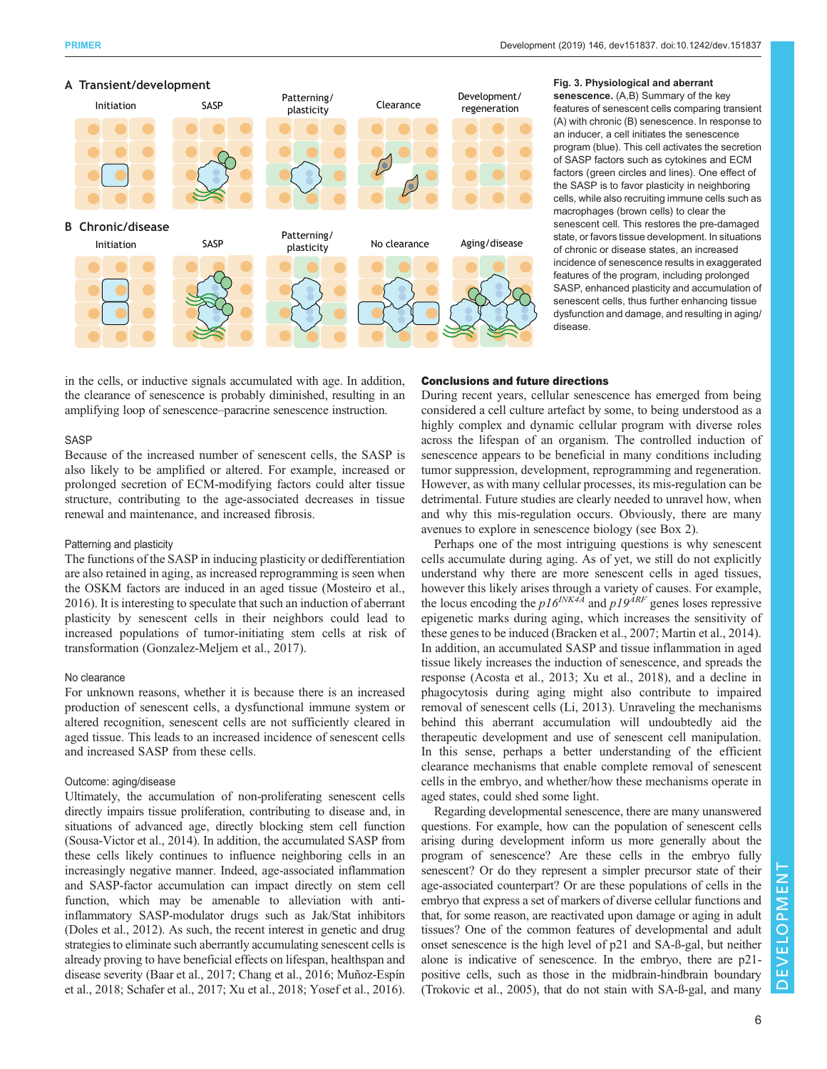<span id="page-5-0"></span>



## Fig. 3. Physiological and aberrant senescence. (A,B) Summary of the key features of senescent cells comparing transient (A) with chronic (B) senescence. In response to an inducer, a cell initiates the senescence program (blue). This cell activates the secretion of SASP factors such as cytokines and ECM factors (green circles and lines). One effect of the SASP is to favor plasticity in neighboring cells, while also recruiting immune cells such as macrophages (brown cells) to clear the senescent cell. This restores the pre-damaged state, or favors tissue development. In situations of chronic or disease states, an increased incidence of senescence results in exaggerated features of the program, including prolonged SASP, enhanced plasticity and accumulation of senescent cells, thus further enhancing tissue dysfunction and damage, and resulting in aging/ disease.

in the cells, or inductive signals accumulated with age. In addition, the clearance of senescence is probably diminished, resulting in an amplifying loop of senescence–paracrine senescence instruction.

# **SASP**

Because of the increased number of senescent cells, the SASP is also likely to be amplified or altered. For example, increased or prolonged secretion of ECM-modifying factors could alter tissue structure, contributing to the age-associated decreases in tissue renewal and maintenance, and increased fibrosis.

#### Patterning and plasticity

The functions of the SASP in inducing plasticity or dedifferentiation are also retained in aging, as increased reprogramming is seen when the OSKM factors are induced in an aged tissue ([Mosteiro et al.,](#page-9-0) [2016](#page-9-0)). It is interesting to speculate that such an induction of aberrant plasticity by senescent cells in their neighbors could lead to increased populations of tumor-initiating stem cells at risk of transformation ([Gonzalez-Meljem et al., 2017\)](#page-8-0).

#### No clearance

For unknown reasons, whether it is because there is an increased production of senescent cells, a dysfunctional immune system or altered recognition, senescent cells are not sufficiently cleared in aged tissue. This leads to an increased incidence of senescent cells and increased SASP from these cells.

## Outcome: aging/disease

Ultimately, the accumulation of non-proliferating senescent cells directly impairs tissue proliferation, contributing to disease and, in situations of advanced age, directly blocking stem cell function [\(Sousa-Victor et al., 2014\)](#page-9-0). In addition, the accumulated SASP from these cells likely continues to influence neighboring cells in an increasingly negative manner. Indeed, age-associated inflammation and SASP-factor accumulation can impact directly on stem cell function, which may be amenable to alleviation with antiinflammatory SASP-modulator drugs such as Jak/Stat inhibitors [\(Doles et al., 2012\)](#page-7-0). As such, the recent interest in genetic and drug strategies to eliminate such aberrantly accumulating senescent cells is already proving to have beneficial effects on lifespan, healthspan and disease severity [\(Baar et al., 2017;](#page-7-0) Chang et al., 2016; [Muñoz-Espín](#page-9-0) [et al., 2018](#page-9-0); [Schafer et al., 2017; Xu et al., 2018; Yosef et al., 2016\)](#page-9-0).

#### Conclusions and future directions

During recent years, cellular senescence has emerged from being considered a cell culture artefact by some, to being understood as a highly complex and dynamic cellular program with diverse roles across the lifespan of an organism. The controlled induction of senescence appears to be beneficial in many conditions including tumor suppression, development, reprogramming and regeneration. However, as with many cellular processes, its mis-regulation can be detrimental. Future studies are clearly needed to unravel how, when and why this mis-regulation occurs. Obviously, there are many avenues to explore in senescence biology (see [Box 2](#page-6-0)).

Perhaps one of the most intriguing questions is why senescent cells accumulate during aging. As of yet, we still do not explicitly understand why there are more senescent cells in aged tissues, however this likely arises through a variety of causes. For example, the locus encoding the  $p16^{INK4A}$  and  $p19^{ARF}$  genes loses repressive epigenetic marks during aging, which increases the sensitivity of these genes to be induced ([Bracken et al., 2007](#page-7-0); [Martin et al., 2014\)](#page-9-0). In addition, an accumulated SASP and tissue inflammation in aged tissue likely increases the induction of senescence, and spreads the response [\(Acosta et al., 2013;](#page-7-0) [Xu et al., 2018\)](#page-9-0), and a decline in phagocytosis during aging might also contribute to impaired removal of senescent cells ([Li, 2013](#page-8-0)). Unraveling the mechanisms behind this aberrant accumulation will undoubtedly aid the therapeutic development and use of senescent cell manipulation. In this sense, perhaps a better understanding of the efficient clearance mechanisms that enable complete removal of senescent cells in the embryo, and whether/how these mechanisms operate in aged states, could shed some light.

Regarding developmental senescence, there are many unanswered questions. For example, how can the population of senescent cells arising during development inform us more generally about the program of senescence? Are these cells in the embryo fully senescent? Or do they represent a simpler precursor state of their age-associated counterpart? Or are these populations of cells in the embryo that express a set of markers of diverse cellular functions and that, for some reason, are reactivated upon damage or aging in adult tissues? One of the common features of developmental and adult onset senescence is the high level of p21 and SA-ß-gal, but neither alone is indicative of senescence. In the embryo, there are p21 positive cells, such as those in the midbrain-hindbrain boundary [\(Trokovic et al., 2005](#page-9-0)), that do not stain with SA-ß-gal, and many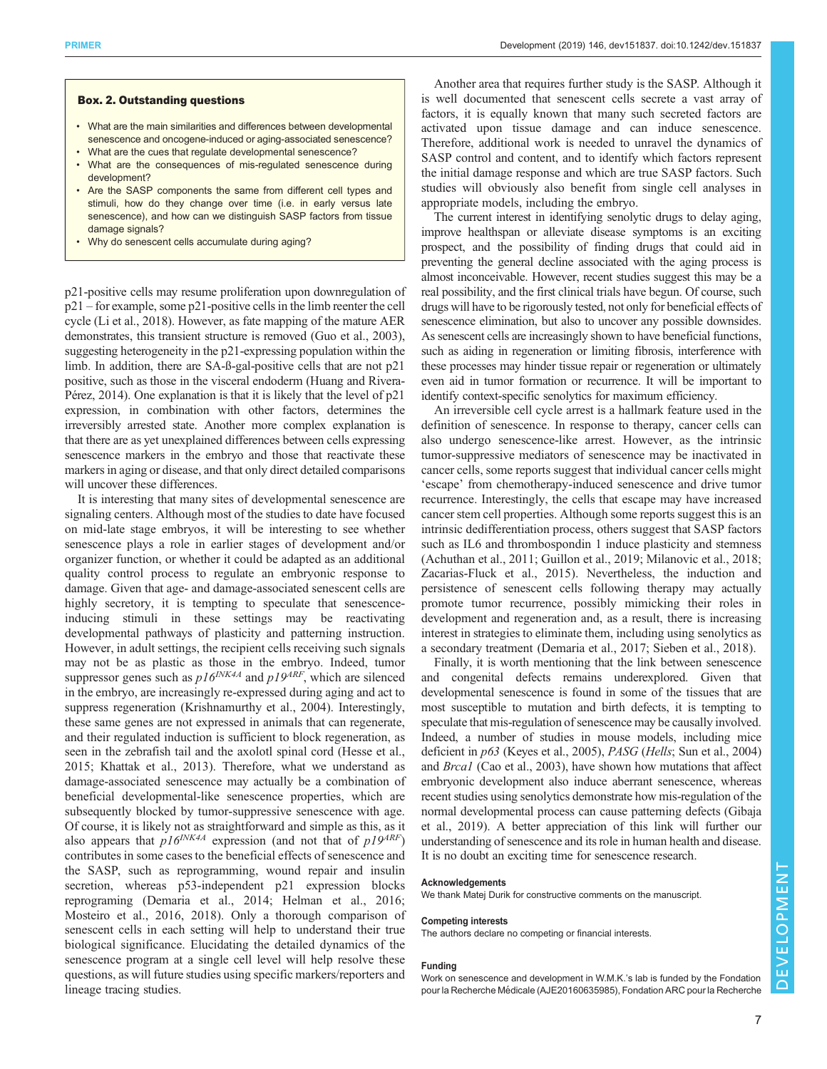# <span id="page-6-0"></span>Box. 2. Outstanding questions

- What are the main similarities and differences between developmental senescence and oncogene-induced or aging-associated senescence?
- What are the cues that regulate developmental senescence? • What are the consequences of mis-regulated senescence during development?
- Are the SASP components the same from different cell types and stimuli, how do they change over time (i.e. in early versus late senescence), and how can we distinguish SASP factors from tissue damage signals?
- Why do senescent cells accumulate during aging?

p21-positive cells may resume proliferation upon downregulation of p21 – for example, some p21-positive cells in the limb reenter the cell cycle ([Li et al., 2018](#page-8-0)). However, as fate mapping of the mature AER demonstrates, this transient structure is removed [\(Guo et al., 2003\)](#page-8-0), suggesting heterogeneity in the p21-expressing population within the limb. In addition, there are SA-ß-gal-positive cells that are not p21 positive, such as those in the visceral endoderm ([Huang and Rivera-](#page-8-0)[Pérez, 2014\)](#page-8-0). One explanation is that it is likely that the level of p21 expression, in combination with other factors, determines the irreversibly arrested state. Another more complex explanation is that there are as yet unexplained differences between cells expressing senescence markers in the embryo and those that reactivate these markers in aging or disease, and that only direct detailed comparisons will uncover these differences.

It is interesting that many sites of developmental senescence are signaling centers. Although most of the studies to date have focused on mid-late stage embryos, it will be interesting to see whether senescence plays a role in earlier stages of development and/or organizer function, or whether it could be adapted as an additional quality control process to regulate an embryonic response to damage. Given that age- and damage-associated senescent cells are highly secretory, it is tempting to speculate that senescenceinducing stimuli in these settings may be reactivating developmental pathways of plasticity and patterning instruction. However, in adult settings, the recipient cells receiving such signals may not be as plastic as those in the embryo. Indeed, tumor suppressor genes such as  $p16^{INK4A}$  and  $p19^{ARF}$ , which are silenced in the embryo, are increasingly re-expressed during aging and act to suppress regeneration ([Krishnamurthy et al., 2004\)](#page-8-0). Interestingly, these same genes are not expressed in animals that can regenerate, and their regulated induction is sufficient to block regeneration, as seen in the zebrafish tail and the axolotl spinal cord [\(Hesse et al.,](#page-8-0) [2015](#page-8-0); [Khattak et al., 2013\)](#page-8-0). Therefore, what we understand as damage-associated senescence may actually be a combination of beneficial developmental-like senescence properties, which are subsequently blocked by tumor-suppressive senescence with age. Of course, it is likely not as straightforward and simple as this, as it also appears that  $p16^{INK4A}$  expression (and not that of  $p19^{ART}$ ) contributes in some cases to the beneficial effects of senescence and the SASP, such as reprogramming, wound repair and insulin secretion, whereas p53-independent p21 expression blocks reprograming ([Demaria et al., 2014;](#page-7-0) [Helman et al., 2016](#page-8-0); [Mosteiro et al., 2016](#page-9-0), [2018\)](#page-9-0). Only a thorough comparison of senescent cells in each setting will help to understand their true biological significance. Elucidating the detailed dynamics of the senescence program at a single cell level will help resolve these questions, as will future studies using specific markers/reporters and lineage tracing studies.

Another area that requires further study is the SASP. Although it is well documented that senescent cells secrete a vast array of factors, it is equally known that many such secreted factors are activated upon tissue damage and can induce senescence. Therefore, additional work is needed to unravel the dynamics of SASP control and content, and to identify which factors represent the initial damage response and which are true SASP factors. Such studies will obviously also benefit from single cell analyses in appropriate models, including the embryo.

The current interest in identifying senolytic drugs to delay aging, improve healthspan or alleviate disease symptoms is an exciting prospect, and the possibility of finding drugs that could aid in preventing the general decline associated with the aging process is almost inconceivable. However, recent studies suggest this may be a real possibility, and the first clinical trials have begun. Of course, such drugs will have to be rigorously tested, not only for beneficial effects of senescence elimination, but also to uncover any possible downsides. As senescent cells are increasingly shown to have beneficial functions, such as aiding in regeneration or limiting fibrosis, interference with these processes may hinder tissue repair or regeneration or ultimately even aid in tumor formation or recurrence. It will be important to identify context-specific senolytics for maximum efficiency.

An irreversible cell cycle arrest is a hallmark feature used in the definition of senescence. In response to therapy, cancer cells can also undergo senescence-like arrest. However, as the intrinsic tumor-suppressive mediators of senescence may be inactivated in cancer cells, some reports suggest that individual cancer cells might 'escape' from chemotherapy-induced senescence and drive tumor recurrence. Interestingly, the cells that escape may have increased cancer stem cell properties. Although some reports suggest this is an intrinsic dedifferentiation process, others suggest that SASP factors such as IL6 and thrombospondin 1 induce plasticity and stemness [\(Achuthan et al., 2011;](#page-7-0) [Guillon et al., 2019;](#page-8-0) [Milanovic et al., 2018](#page-9-0); [Zacarias-Fluck et al., 2015](#page-9-0)). Nevertheless, the induction and persistence of senescent cells following therapy may actually promote tumor recurrence, possibly mimicking their roles in development and regeneration and, as a result, there is increasing interest in strategies to eliminate them, including using senolytics as a secondary treatment ([Demaria et al., 2017](#page-7-0); [Sieben et al., 2018\)](#page-9-0).

Finally, it is worth mentioning that the link between senescence and congenital defects remains underexplored. Given that developmental senescence is found in some of the tissues that are most susceptible to mutation and birth defects, it is tempting to speculate that mis-regulation of senescence may be causally involved. Indeed, a number of studies in mouse models, including mice deficient in p63 ([Keyes et al., 2005](#page-8-0)), PASG (Hells; [Sun et al., 2004\)](#page-9-0) and Brca1 [\(Cao et al., 2003\)](#page-7-0), have shown how mutations that affect embryonic development also induce aberrant senescence, whereas recent studies using senolytics demonstrate how mis-regulation of the normal developmental process can cause patterning defects [\(Gibaja](#page-8-0) [et al., 2019\)](#page-8-0). A better appreciation of this link will further our understanding of senescence and its role in human health and disease. It is no doubt an exciting time for senescence research.

#### Acknowledgements

We thank Matej Durik for constructive comments on the manuscript.

#### Competing interests

The authors declare no competing or financial interests.

## Funding

Work on senescence and development in W.M.K.'s lab is funded by the Fondation pour la Recherche Médicale (AJE20160635985), Fondation ARC pour la Recherche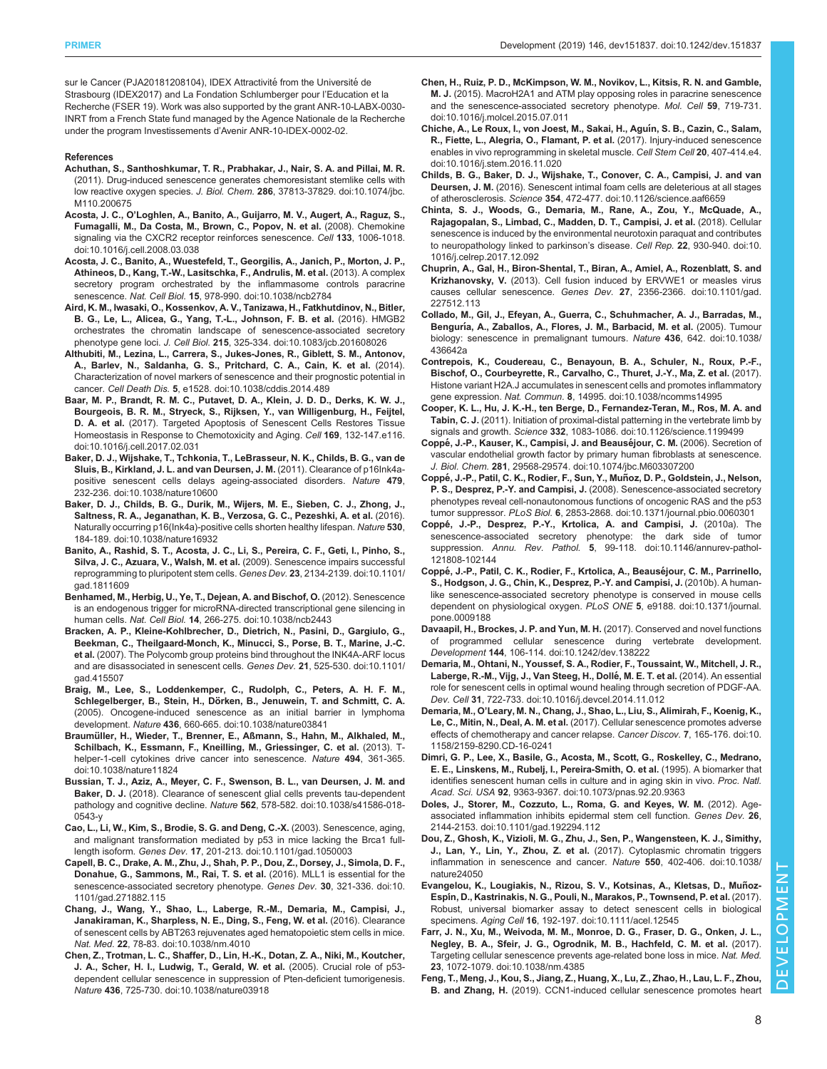<span id="page-7-0"></span>sur le Cancer (PJA20181208104), IDEX Attractivité from the Université de Strasbourg (IDEX2017) and La Fondation Schlumberger pour l'Education et la Recherche (FSER 19). Work was also supported by the grant ANR-10-LABX-0030- INRT from a French State fund managed by the Agence Nationale de la Recherche under the program Investissements d'Avenir ANR-10-IDEX-0002-02.

#### References

- [Achuthan, S., Santhoshkumar, T. R., Prabhakar, J., Nair, S. A. and Pillai, M. R.](https://doi.org/10.1074/jbc.M110.200675) [\(2011\). Drug-induced senescence generates chemoresistant stemlike cells with](https://doi.org/10.1074/jbc.M110.200675) low reactive oxygen species. J. Biol. Chem. 286[, 37813-37829. doi:10.1074/jbc.](https://doi.org/10.1074/jbc.M110.200675) [M110.200675](https://doi.org/10.1074/jbc.M110.200675)
- Acosta, J. C., O'[Loghlen, A., Banito, A., Guijarro, M. V., Augert, A., Raguz, S.,](https://doi.org/10.1016/j.cell.2008.03.038) [Fumagalli, M., Da Costa, M., Brown, C., Popov, N. et al.](https://doi.org/10.1016/j.cell.2008.03.038) (2008). Chemokine [signaling via the CXCR2 receptor reinforces senescence.](https://doi.org/10.1016/j.cell.2008.03.038) Cell 133, 1006-1018. [doi:10.1016/j.cell.2008.03.038](https://doi.org/10.1016/j.cell.2008.03.038)
- [Acosta, J. C., Banito, A., Wuestefeld, T., Georgilis, A., Janich, P., Morton, J. P.,](https://doi.org/10.1038/ncb2784) [Athineos, D., Kang, T.-W., Lasitschka, F., Andrulis, M. et al.](https://doi.org/10.1038/ncb2784) (2013). A complex [secretory program orchestrated by the inflammasome controls paracrine](https://doi.org/10.1038/ncb2784) senescence. Nat. Cell Biol. 15[, 978-990. doi:10.1038/ncb2784](https://doi.org/10.1038/ncb2784)
- [Aird, K. M., Iwasaki, O., Kossenkov, A. V., Tanizawa, H., Fatkhutdinov, N., Bitler,](https://doi.org/10.1083/jcb.201608026) [B. G., Le, L., Alicea, G., Yang, T.-L., Johnson, F. B. et al.](https://doi.org/10.1083/jcb.201608026) (2016). HMGB2 [orchestrates the chromatin landscape of senescence-associated secretory](https://doi.org/10.1083/jcb.201608026) phenotype gene loci. J. Cell Biol. 215[, 325-334. doi:10.1083/jcb.201608026](https://doi.org/10.1083/jcb.201608026)
- [Althubiti, M., Lezina, L., Carrera, S., Jukes-Jones, R., Giblett, S. M., Antonov,](https://doi.org/10.1038/cddis.2014.489) [A., Barlev, N., Saldanha, G. S., Pritchard, C. A., Cain, K. et al.](https://doi.org/10.1038/cddis.2014.489) (2014). [Characterization of novel markers of senescence and their prognostic potential in](https://doi.org/10.1038/cddis.2014.489) cancer. Cell Death Dis. 5[, e1528. doi:10.1038/cddis.2014.489](https://doi.org/10.1038/cddis.2014.489)
- [Baar, M. P., Brandt, R. M. C., Putavet, D. A., Klein, J. D. D., Derks, K. W. J.,](https://doi.org/10.1016/j.cell.2017.02.031) [Bourgeois, B. R. M., Stryeck, S., Rijksen, Y., van Willigenburg, H., Feijtel,](https://doi.org/10.1016/j.cell.2017.02.031) D. A. et al. [\(2017\). Targeted Apoptosis of Senescent Cells Restores Tissue](https://doi.org/10.1016/j.cell.2017.02.031) [Homeostasis in Response to Chemotoxicity and Aging.](https://doi.org/10.1016/j.cell.2017.02.031) Cell 169, 132-147.e116. [doi:10.1016/j.cell.2017.02.031](https://doi.org/10.1016/j.cell.2017.02.031)
- [Baker, D. J., Wijshake, T., Tchkonia, T., LeBrasseur, N. K., Childs, B. G., van de](https://doi.org/10.1038/nature10600) [Sluis, B., Kirkland, J. L. and van Deursen, J. M.](https://doi.org/10.1038/nature10600) (2011). Clearance of p16Ink4a[positive senescent cells delays ageing-associated disorders.](https://doi.org/10.1038/nature10600) Nature 479, [232-236. doi:10.1038/nature10600](https://doi.org/10.1038/nature10600)
- [Baker, D. J., Childs, B. G., Durik, M., Wijers, M. E., Sieben, C. J., Zhong, J.,](https://doi.org/10.1038/nature16932) [Saltness, R. A., Jeganathan, K. B., Verzosa, G. C., Pezeshki, A. et al.](https://doi.org/10.1038/nature16932) (2016). [Naturally occurring p16\(Ink4a\)-positive cells shorten healthy lifespan.](https://doi.org/10.1038/nature16932) Nature 530, [184-189. doi:10.1038/nature16932](https://doi.org/10.1038/nature16932)
- [Banito, A., Rashid, S. T., Acosta, J. C., Li, S., Pereira, C. F., Geti, I., Pinho, S.,](https://doi.org/10.1101/gad.1811609) [Silva, J. C., Azuara, V., Walsh, M. et al.](https://doi.org/10.1101/gad.1811609) (2009). Senescence impairs successful [reprogramming to pluripotent stem cells.](https://doi.org/10.1101/gad.1811609) Genes Dev. 23, 2134-2139. doi:10.1101/ [gad.1811609](https://doi.org/10.1101/gad.1811609)
- [Benhamed, M., Herbig, U., Ye, T., Dejean, A. and Bischof, O.](https://doi.org/10.1038/ncb2443) (2012). Senescence [is an endogenous trigger for microRNA-directed transcriptional gene silencing in](https://doi.org/10.1038/ncb2443) human cells. Nat. Cell Biol. 14[, 266-275. doi:10.1038/ncb2443](https://doi.org/10.1038/ncb2443)
- [Bracken, A. P., Kleine-Kohlbrecher, D., Dietrich, N., Pasini, D., Gargiulo, G.,](https://doi.org/10.1101/gad.415507) [Beekman, C., Theilgaard-Monch, K., Minucci, S., Porse, B. T., Marine, J.-C.](https://doi.org/10.1101/gad.415507) et al. [\(2007\). The Polycomb group proteins bind throughout the INK4A-ARF locus](https://doi.org/10.1101/gad.415507) [and are disassociated in senescent cells.](https://doi.org/10.1101/gad.415507) Genes Dev. 21, 525-530. doi:10.1101/ [gad.415507](https://doi.org/10.1101/gad.415507)
- [Braig, M., Lee, S., Loddenkemper, C., Rudolph, C., Peters, A. H. F. M.,](https://doi.org/10.1038/nature03841) Schlegelberger, B., Stein, H., Dö[rken, B., Jenuwein, T. and Schmitt, C. A.](https://doi.org/10.1038/nature03841) [\(2005\). Oncogene-induced senescence as an initial barrier in lymphoma](https://doi.org/10.1038/nature03841) development. Nature 436[, 660-665. doi:10.1038/nature03841](https://doi.org/10.1038/nature03841)
- Braumü[ller, H., Wieder, T., Brenner, E., Aßmann, S., Hahn, M., Alkhaled, M.,](https://doi.org/10.1038/nature11824) [Schilbach, K., Essmann, F., Kneilling, M., Griessinger, C. et al.](https://doi.org/10.1038/nature11824) (2013). T[helper-1-cell cytokines drive cancer into senescence.](https://doi.org/10.1038/nature11824) Nature 494, 361-365. [doi:10.1038/nature11824](https://doi.org/10.1038/nature11824)
- [Bussian, T. J., Aziz, A., Meyer, C. F., Swenson, B. L., van Deursen, J. M. and](https://doi.org/10.1038/s41586-018-0543-y) Baker, D. J. [\(2018\). Clearance of senescent glial cells prevents tau-dependent](https://doi.org/10.1038/s41586-018-0543-y) pathology and cognitive decline. Nature 562[, 578-582. doi:10.1038/s41586-018-](https://doi.org/10.1038/s41586-018-0543-y) [0543-y](https://doi.org/10.1038/s41586-018-0543-y)
- [Cao, L., Li, W., Kim, S., Brodie, S. G. and Deng, C.-X.](https://doi.org/10.1101/gad.1050003) (2003). Senescence, aging, [and malignant transformation mediated by p53 in mice lacking the Brca1 full](https://doi.org/10.1101/gad.1050003)length isoform. Genes Dev. 17[, 201-213. doi:10.1101/gad.1050003](https://doi.org/10.1101/gad.1050003)
- [Capell, B. C., Drake, A. M., Zhu, J., Shah, P. P., Dou, Z., Dorsey, J., Simola, D. F.,](https://doi.org/10.1101/gad.271882.115) [Donahue, G., Sammons, M., Rai, T. S. et al.](https://doi.org/10.1101/gad.271882.115) (2016). MLL1 is essential for the [senescence-associated secretory phenotype.](https://doi.org/10.1101/gad.271882.115) Genes Dev. 30, 321-336. doi:10. [1101/gad.271882.115](https://doi.org/10.1101/gad.271882.115)
- [Chang, J., Wang, Y., Shao, L., Laberge, R.-M., Demaria, M., Campisi, J.,](https://doi.org/10.1038/nm.4010) [Janakiraman, K., Sharpless, N. E., Ding, S., Feng, W. et al.](https://doi.org/10.1038/nm.4010) (2016). Clearance [of senescent cells by ABT263 rejuvenates aged hematopoietic stem cells in mice.](https://doi.org/10.1038/nm.4010) Nat. Med. 22[, 78-83. doi:10.1038/nm.4010](https://doi.org/10.1038/nm.4010)
- [Chen, Z., Trotman, L. C., Shaffer, D., Lin, H.-K., Dotan, Z. A., Niki, M., Koutcher,](https://doi.org/10.1038/nature03918) [J. A., Scher, H. I., Ludwig, T., Gerald, W. et al.](https://doi.org/10.1038/nature03918) (2005). Crucial role of p53 [dependent cellular senescence in suppression of Pten-deficient tumorigenesis.](https://doi.org/10.1038/nature03918) Nature 436[, 725-730. doi:10.1038/nature03918](https://doi.org/10.1038/nature03918)
- [Chen, H., Ruiz, P. D., McKimpson, W. M., Novikov, L., Kitsis, R. N. and Gamble,](https://doi.org/10.1016/j.molcel.2015.07.011) M. J. [\(2015\). MacroH2A1 and ATM play opposing roles in paracrine senescence](https://doi.org/10.1016/j.molcel.2015.07.011) [and the senescence-associated secretory phenotype.](https://doi.org/10.1016/j.molcel.2015.07.011) Mol. Cell 59, 719-731. [doi:10.1016/j.molcel.2015.07.011](https://doi.org/10.1016/j.molcel.2015.07.011)
- [Chiche, A., Le Roux, I., von Joest, M., Sakai, H., Agu](https://doi.org/10.1016/j.stem.2016.11.020)ín, S. B., Cazin, C., Salam, [R., Fiette, L., Alegria, O., Flamant, P. et al.](https://doi.org/10.1016/j.stem.2016.11.020) (2017). Injury-induced senescence [enables in vivo reprogramming in skeletal muscle.](https://doi.org/10.1016/j.stem.2016.11.020) Cell Stem Cell 20, 407-414.e4. [doi:10.1016/j.stem.2016.11.020](https://doi.org/10.1016/j.stem.2016.11.020)
- [Childs, B. G., Baker, D. J., Wijshake, T., Conover, C. A., Campisi, J. and van](https://doi.org/10.1126/science.aaf6659) Deursen, J. M. [\(2016\). Senescent intimal foam cells are deleterious at all stages](https://doi.org/10.1126/science.aaf6659) of atherosclerosis. Science 354[, 472-477. doi:10.1126/science.aaf6659](https://doi.org/10.1126/science.aaf6659)
- [Chinta, S. J., Woods, G., Demaria, M., Rane, A., Zou, Y., McQuade, A.,](https://doi.org/10.1016/j.celrep.2017.12.092) [Rajagopalan, S., Limbad, C., Madden, D. T., Campisi, J. et al.](https://doi.org/10.1016/j.celrep.2017.12.092) (2018). Cellular [senescence is induced by the environmental neurotoxin paraquat and contributes](https://doi.org/10.1016/j.celrep.2017.12.092) [to neuropathology linked to parkinson](https://doi.org/10.1016/j.celrep.2017.12.092)'s disease. Cell Rep. 22, 930-940. doi:10. [1016/j.celrep.2017.12.092](https://doi.org/10.1016/j.celrep.2017.12.092)
- [Chuprin, A., Gal, H., Biron-Shental, T., Biran, A., Amiel, A., Rozenblatt, S. and](https://doi.org/10.1101/gad.227512.113) Krizhanovsky, V. [\(2013\). Cell fusion induced by ERVWE1 or measles virus](https://doi.org/10.1101/gad.227512.113) causes cellular senescence. Genes Dev. 27[, 2356-2366. doi:10.1101/gad.](https://doi.org/10.1101/gad.227512.113) [227512.113](https://doi.org/10.1101/gad.227512.113)
- [Collado, M., Gil, J., Efeyan, A., Guerra, C., Schuhmacher, A. J., Barradas, M.,](https://doi.org/10.1038/436642a) Bengurí[a, A., Zaballos, A., Flores, J. M., Barbacid, M. et al.](https://doi.org/10.1038/436642a) (2005). Tumour [biology: senescence in premalignant tumours.](https://doi.org/10.1038/436642a) Nature 436, 642. doi:10.1038/ [436642a](https://doi.org/10.1038/436642a)
- [Contrepois, K., Coudereau, C., Benayoun, B. A., Schuler, N., Roux, P.-F.,](https://doi.org/10.1038/ncomms14995) [Bischof, O., Courbeyrette, R., Carvalho, C., Thuret, J.-Y., Ma, Z. et al.](https://doi.org/10.1038/ncomms14995) (2017). [Histone variant H2A.J accumulates in senescent cells and promotes inflammatory](https://doi.org/10.1038/ncomms14995) gene expression. Nat. Commun. 8[, 14995. doi:10.1038/ncomms14995](https://doi.org/10.1038/ncomms14995)
- [Cooper, K. L., Hu, J. K.-H., ten Berge, D., Fernandez-Teran, M., Ros, M. A. and](https://doi.org/10.1126/science.1199499) Tabin, C. J. [\(2011\). Initiation of proximal-distal patterning in the vertebrate limb by](https://doi.org/10.1126/science.1199499) signals and growth. Science 332[, 1083-1086. doi:10.1126/science.1199499](https://doi.org/10.1126/science.1199499)
- Coppé, J.-P., Kauser, K., Campisi, J. and Beauséjour, C. M. (2006). Secretion of [vascular endothelial growth factor by primary human fibroblasts at senescence.](https://doi.org/10.1074/jbc.M603307200) J. Biol. Chem. 281[, 29568-29574. doi:10.1074/jbc.M603307200](https://doi.org/10.1074/jbc.M603307200)
- Coppé[, J.-P., Patil, C. K., Rodier, F., Sun, Y., Mun](https://doi.org/10.1371/journal.pbio.0060301)̃ oz, D. P., Goldstein, J., Nelson, P. S., Desprez, P.-Y. and Campisi, J. [\(2008\). Senescence-associated secretory](https://doi.org/10.1371/journal.pbio.0060301) [phenotypes reveal cell-nonautonomous functions of oncogenic RAS and the p53](https://doi.org/10.1371/journal.pbio.0060301) tumor suppressor. PLoS Biol. 6[, 2853-2868. doi:10.1371/journal.pbio.0060301](https://doi.org/10.1371/journal.pbio.0060301)
- Coppé[, J.-P., Desprez, P.-Y., Krtolica, A. and Campisi, J.](https://doi.org/10.1146/annurev-pathol-121808-102144) (2010a). The [senescence-associated secretory phenotype: the dark side of tumor](https://doi.org/10.1146/annurev-pathol-121808-102144) suppression. Annu. Rev. Pathol. 5[, 99-118. doi:10.1146/annurev-pathol-](https://doi.org/10.1146/annurev-pathol-121808-102144)[121808-102144](https://doi.org/10.1146/annurev-pathol-121808-102144)
- Coppé[, J.-P., Patil, C. K., Rodier, F., Krtolica, A., Beause](https://doi.org/10.1371/journal.pone.0009188)́jour, C. M., Parrinello, [S., Hodgson, J. G., Chin, K., Desprez, P.-Y. and Campisi, J.](https://doi.org/10.1371/journal.pone.0009188) (2010b). A human[like senescence-associated secretory phenotype is conserved in mouse cells](https://doi.org/10.1371/journal.pone.0009188) [dependent on physiological oxygen.](https://doi.org/10.1371/journal.pone.0009188) PLoS ONE 5, e9188. doi:10.1371/journal. [pone.0009188](https://doi.org/10.1371/journal.pone.0009188)
- [Davaapil, H., Brockes, J. P. and Yun, M. H.](https://doi.org/10.1242/dev.138222) (2017). Conserved and novel functions [of programmed cellular senescence during vertebrate development.](https://doi.org/10.1242/dev.138222) Development 144[, 106-114. doi:10.1242/dev.138222](https://doi.org/10.1242/dev.138222)
- [Demaria, M., Ohtani, N., Youssef, S. A., Rodier, F., Toussaint, W., Mitchell, J. R.,](https://doi.org/10.1016/j.devcel.2014.11.012) Laberge, R.-M., Vijg, J., Van Steeg, H., Dollé, M. E. T. et al. (2014). An essential [role for senescent cells in optimal wound healing through secretion of PDGF-AA.](https://doi.org/10.1016/j.devcel.2014.11.012) Dev. Cell 31[, 722-733. doi:10.1016/j.devcel.2014.11.012](https://doi.org/10.1016/j.devcel.2014.11.012)
- Demaria, M., O'[Leary, M. N., Chang, J., Shao, L., Liu, S., Alimirah, F., Koenig, K.,](https://doi.org/10.1158/2159-8290.CD-16-0241) Le, C., Mitin, N., Deal, A. M. et al. [\(2017\). Cellular senescence promotes adverse](https://doi.org/10.1158/2159-8290.CD-16-0241) [effects of chemotherapy and cancer relapse.](https://doi.org/10.1158/2159-8290.CD-16-0241) Cancer Discov. 7, 165-176. doi:10. [1158/2159-8290.CD-16-0241](https://doi.org/10.1158/2159-8290.CD-16-0241)
- [Dimri, G. P., Lee, X., Basile, G., Acosta, M., Scott, G., Roskelley, C., Medrano,](https://doi.org/10.1073/pnas.92.20.9363) [E. E., Linskens, M., Rubelj, I., Pereira-Smith, O. et al.](https://doi.org/10.1073/pnas.92.20.9363) (1995). A biomarker that [identifies senescent human cells in culture and in aging skin in vivo.](https://doi.org/10.1073/pnas.92.20.9363) Proc. Natl. Acad. Sci. USA 92[, 9363-9367. doi:10.1073/pnas.92.20.9363](https://doi.org/10.1073/pnas.92.20.9363)
- [Doles, J., Storer, M., Cozzuto, L., Roma, G. and Keyes, W. M.](https://doi.org/10.1101/gad.192294.112) (2012). Age[associated inflammation inhibits epidermal stem cell function.](https://doi.org/10.1101/gad.192294.112) Genes Dev. 26, [2144-2153. doi:10.1101/gad.192294.112](https://doi.org/10.1101/gad.192294.112)
- [Dou, Z., Ghosh, K., Vizioli, M. G., Zhu, J., Sen, P., Wangensteen, K. J., Simithy,](https://doi.org/10.1038/nature24050) J., Lan, Y., Lin, Y., Zhou, Z. et al. [\(2017\). Cytoplasmic chromatin triggers](https://doi.org/10.1038/nature24050) [inflammation in senescence and cancer.](https://doi.org/10.1038/nature24050) Nature 550, 402-406. doi:10.1038/ [nature24050](https://doi.org/10.1038/nature24050)
- Evangelou, K., Lougiakis, N., Rizou, S. V., Kotsinas, A., Kletsas, D., MuñozEspí[n, D., Kastrinakis, N. G., Pouli, N., Marakos, P., Townsend, P. et al.](https://doi.org/10.1111/acel.12545) (2017). [Robust, universal biomarker assay to detect senescent cells in biological](https://doi.org/10.1111/acel.12545) specimens. Aging Cell 16[, 192-197. doi:10.1111/acel.12545](https://doi.org/10.1111/acel.12545)
- [Farr, J. N., Xu, M., Weivoda, M. M., Monroe, D. G., Fraser, D. G., Onken, J. L.,](https://doi.org/10.1038/nm.4385) [Negley, B. A., Sfeir, J. G., Ogrodnik, M. B., Hachfeld, C. M. et al.](https://doi.org/10.1038/nm.4385) (2017). [Targeting cellular senescence prevents age-related bone loss in mice.](https://doi.org/10.1038/nm.4385) Nat. Med. 23[, 1072-1079. doi:10.1038/nm.4385](https://doi.org/10.1038/nm.4385)
- [Feng, T., Meng, J., Kou, S., Jiang, Z., Huang, X., Lu, Z., Zhao, H., Lau, L. F., Zhou,](https://doi.org/10.1161/CIRCULATIONAHA.119.039530) B. and Zhang, H. [\(2019\). CCN1-induced cellular senescence promotes heart](https://doi.org/10.1161/CIRCULATIONAHA.119.039530)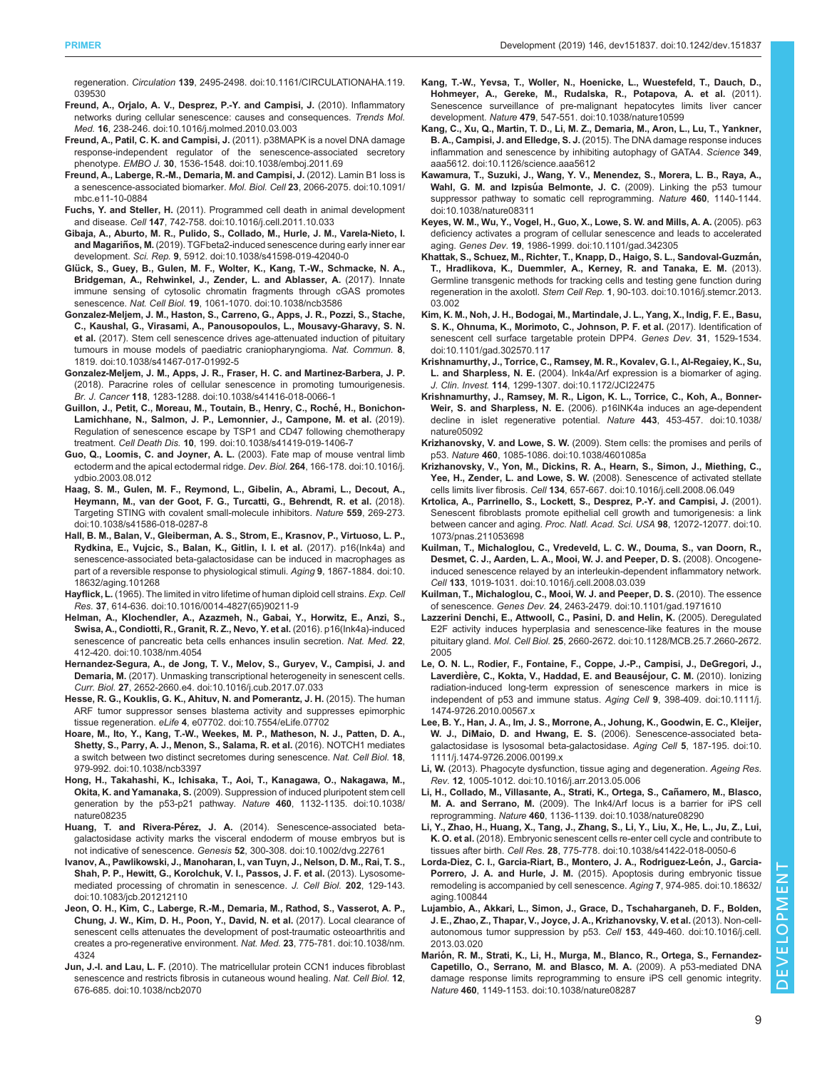<span id="page-8-0"></span>regeneration. Circulation 139[, 2495-2498. doi:10.1161/CIRCULATIONAHA.119.](https://doi.org/10.1161/CIRCULATIONAHA.119.039530) [039530](https://doi.org/10.1161/CIRCULATIONAHA.119.039530)

- [Freund, A., Orjalo, A. V., Desprez, P.-Y. and Campisi, J.](https://doi.org/10.1016/j.molmed.2010.03.003) (2010). Inflammatory [networks during cellular senescence: causes and consequences.](https://doi.org/10.1016/j.molmed.2010.03.003) Trends Mol. Med. 16[, 238-246. doi:10.1016/j.molmed.2010.03.003](https://doi.org/10.1016/j.molmed.2010.03.003)
- Freund, A., Patil, C. K. and Campisi, J. [\(2011\). p38MAPK is a novel DNA damage](https://doi.org/10.1038/emboj.2011.69) [response-independent regulator of the senescence-associated secretory](https://doi.org/10.1038/emboj.2011.69) phenotype. EMBO J. 30[, 1536-1548. doi:10.1038/emboj.2011.69](https://doi.org/10.1038/emboj.2011.69)
- [Freund, A., Laberge, R.-M., Demaria, M. and Campisi, J.](https://doi.org/10.1091/mbc.e11-10-0884) (2012). Lamin B1 loss is [a senescence-associated biomarker.](https://doi.org/10.1091/mbc.e11-10-0884) Mol. Biol. Cell 23, 2066-2075. doi:10.1091/ [mbc.e11-10-0884](https://doi.org/10.1091/mbc.e11-10-0884)
- Fuchs, Y. and Steller, H. [\(2011\). Programmed cell death in animal development](https://doi.org/10.1016/j.cell.2011.10.033) and disease. Cell 147[, 742-758. doi:10.1016/j.cell.2011.10.033](https://doi.org/10.1016/j.cell.2011.10.033)
- [Gibaja, A., Aburto, M. R., Pulido, S., Collado, M., Hurle, J. M., Varela-Nieto, I.](https://doi.org/10.1038/s41598-019-42040-0) **and Magariños, M.** [\(2019\). TGFbeta2-induced senescence during early inner ear](https://doi.org/10.1038/s41598-019-42040-0) development. Sci. Rep. 9[, 5912. doi:10.1038/s41598-019-42040-0](https://doi.org/10.1038/s41598-019-42040-0)
- Glü[ck, S., Guey, B., Gulen, M. F., Wolter, K., Kang, T.-W., Schmacke, N. A.,](https://doi.org/10.1038/ncb3586) [Bridgeman, A., Rehwinkel, J., Zender, L. and Ablasser, A.](https://doi.org/10.1038/ncb3586) (2017). Innate [immune sensing of cytosolic chromatin fragments through cGAS promotes](https://doi.org/10.1038/ncb3586) senescence. Nat. Cell Biol. 19[, 1061-1070. doi:10.1038/ncb3586](https://doi.org/10.1038/ncb3586)
- [Gonzalez-Meljem, J. M., Haston, S., Carreno, G., Apps, J. R., Pozzi, S., Stache,](https://doi.org/10.1038/s41467-017-01992-5) [C., Kaushal, G., Virasami, A., Panousopoulos, L., Mousavy-Gharavy, S. N.](https://doi.org/10.1038/s41467-017-01992-5) et al. [\(2017\). Stem cell senescence drives age-attenuated induction of pituitary](https://doi.org/10.1038/s41467-017-01992-5) [tumours in mouse models of paediatric craniopharyngioma.](https://doi.org/10.1038/s41467-017-01992-5) Nat. Commun. 8, [1819. doi:10.1038/s41467-017-01992-5](https://doi.org/10.1038/s41467-017-01992-5)
- [Gonzalez-Meljem, J. M., Apps, J. R., Fraser, H. C. and Martinez-Barbera, J. P.](https://doi.org/10.1038/s41416-018-0066-1) [\(2018\). Paracrine roles of cellular senescence in promoting tumourigenesis.](https://doi.org/10.1038/s41416-018-0066-1) Br. J. Cancer 118[, 1283-1288. doi:10.1038/s41416-018-0066-1](https://doi.org/10.1038/s41416-018-0066-1)
- [Guillon, J., Petit, C., Moreau, M., Toutain, B., Henry, C., Roche](https://doi.org/10.1038/s41419-019-1406-7)́, H., Bonichon-[Lamichhane, N., Salmon, J. P., Lemonnier, J., Campone, M. et al.](https://doi.org/10.1038/s41419-019-1406-7) (2019). [Regulation of senescence escape by TSP1 and CD47 following chemotherapy](https://doi.org/10.1038/s41419-019-1406-7) treatment. Cell Death Dis. 10[, 199. doi:10.1038/s41419-019-1406-7](https://doi.org/10.1038/s41419-019-1406-7)
- [Guo, Q., Loomis, C. and Joyner, A. L.](https://doi.org/10.1016/j.ydbio.2003.08.012) (2003). Fate map of mouse ventral limb [ectoderm and the apical ectodermal ridge.](https://doi.org/10.1016/j.ydbio.2003.08.012) Dev. Biol. 264, 166-178. doi:10.1016/j. [ydbio.2003.08.012](https://doi.org/10.1016/j.ydbio.2003.08.012)
- [Haag, S. M., Gulen, M. F., Reymond, L., Gibelin, A., Abrami, L., Decout, A.,](https://doi.org/10.1038/s41586-018-0287-8) [Heymann, M., van der Goot, F. G., Turcatti, G., Behrendt, R. et al.](https://doi.org/10.1038/s41586-018-0287-8) (2018). [Targeting STING with covalent small-molecule inhibitors.](https://doi.org/10.1038/s41586-018-0287-8) Nature 559, 269-273. [doi:10.1038/s41586-018-0287-8](https://doi.org/10.1038/s41586-018-0287-8)
- [Hall, B. M., Balan, V., Gleiberman, A. S., Strom, E., Krasnov, P., Virtuoso, L. P.,](https://doi.org/10.18632/aging.101268) [Rydkina, E., Vujcic, S., Balan, K., Gitlin, I. I. et al.](https://doi.org/10.18632/aging.101268) (2017). p16(Ink4a) and [senescence-associated beta-galactosidase can be induced in macrophages as](https://doi.org/10.18632/aging.101268) [part of a reversible response to physiological stimuli.](https://doi.org/10.18632/aging.101268) Aging 9, 1867-1884. doi:10. [18632/aging.101268](https://doi.org/10.18632/aging.101268)
- Hayflick, L. [\(1965\). The limited in vitro lifetime of human diploid cell strains.](https://doi.org/10.1016/0014-4827(65)90211-9) Exp. Cell Res. 37[, 614-636. doi:10.1016/0014-4827\(65\)90211-9](https://doi.org/10.1016/0014-4827(65)90211-9)
- [Helman, A., Klochendler, A., Azazmeh, N., Gabai, Y., Horwitz, E., Anzi, S.,](https://doi.org/10.1038/nm.4054) [Swisa, A., Condiotti, R., Granit, R. Z., Nevo, Y. et al.](https://doi.org/10.1038/nm.4054) (2016). p16(Ink4a)-induced [senescence of pancreatic beta cells enhances insulin secretion.](https://doi.org/10.1038/nm.4054) Nat. Med. 22, [412-420. doi:10.1038/nm.4054](https://doi.org/10.1038/nm.4054)
- [Hernandez-Segura, A., de Jong, T. V., Melov, S., Guryev, V., Campisi, J. and](https://doi.org/10.1016/j.cub.2017.07.033) Demaria, M. [\(2017\). Unmasking transcriptional heterogeneity in senescent cells.](https://doi.org/10.1016/j.cub.2017.07.033) Curr. Biol. 27[, 2652-2660.e4. doi:10.1016/j.cub.2017.07.033](https://doi.org/10.1016/j.cub.2017.07.033)
- [Hesse, R. G., Kouklis, G. K., Ahituv, N. and Pomerantz, J. H.](https://doi.org/10.7554/eLife.07702) (2015). The human [ARF tumor suppressor senses blastema activity and suppresses epimorphic](https://doi.org/10.7554/eLife.07702) tissue regeneration. eLife 4[, e07702. doi:10.7554/eLife.07702](https://doi.org/10.7554/eLife.07702)
- [Hoare, M., Ito, Y., Kang, T.-W., Weekes, M. P., Matheson, N. J., Patten, D. A.,](https://doi.org/10.1038/ncb3397) [Shetty, S., Parry, A. J., Menon, S., Salama, R. et al.](https://doi.org/10.1038/ncb3397) (2016). NOTCH1 mediates [a switch between two distinct secretomes during senescence.](https://doi.org/10.1038/ncb3397) Nat. Cell Biol. 18, [979-992. doi:10.1038/ncb3397](https://doi.org/10.1038/ncb3397)
- [Hong, H., Takahashi, K., Ichisaka, T., Aoi, T., Kanagawa, O., Nakagawa, M.,](https://doi.org/10.1038/nature08235) Okita, K. and Yamanaka, S. [\(2009\). Suppression of induced pluripotent stem cell](https://doi.org/10.1038/nature08235) [generation by the p53-p21 pathway.](https://doi.org/10.1038/nature08235) Nature 460, 1132-1135. doi:10.1038/ [nature08235](https://doi.org/10.1038/nature08235)
- Huang, T. and Rivera-Pérez, J. A. [\(2014\). Senescence-associated beta](https://doi.org/10.1002/dvg.22761)[galactosidase activity marks the visceral endoderm of mouse embryos but is](https://doi.org/10.1002/dvg.22761) not indicative of senescence. Genesis 52[, 300-308. doi:10.1002/dvg.22761](https://doi.org/10.1002/dvg.22761)
- [Ivanov, A., Pawlikowski, J., Manoharan, I., van Tuyn, J., Nelson, D. M., Rai, T. S.,](https://doi.org/10.1083/jcb.201212110) [Shah, P. P., Hewitt, G., Korolchuk, V. I., Passos, J. F. et al.](https://doi.org/10.1083/jcb.201212110) (2013). Lysosome[mediated processing of chromatin in senescence.](https://doi.org/10.1083/jcb.201212110) J. Cell Biol. 202, 129-143. [doi:10.1083/jcb.201212110](https://doi.org/10.1083/jcb.201212110)
- [Jeon, O. H., Kim, C., Laberge, R.-M., Demaria, M., Rathod, S., Vasserot, A. P.,](https://doi.org/10.1038/nm.4324) [Chung, J. W., Kim, D. H., Poon, Y., David, N. et al.](https://doi.org/10.1038/nm.4324) (2017). Local clearance of [senescent cells attenuates the development of post-traumatic osteoarthritis and](https://doi.org/10.1038/nm.4324) [creates a pro-regenerative environment.](https://doi.org/10.1038/nm.4324) Nat. Med. 23, 775-781. doi:10.1038/nm. [4324](https://doi.org/10.1038/nm.4324)
- Jun, J.-I. and Lau, L. F. [\(2010\). The matricellular protein CCN1 induces fibroblast](https://doi.org/10.1038/ncb2070) [senescence and restricts fibrosis in cutaneous wound healing.](https://doi.org/10.1038/ncb2070) Nat. Cell Biol. 12, [676-685. doi:10.1038/ncb2070](https://doi.org/10.1038/ncb2070)
- [Kang, T.-W., Yevsa, T., Woller, N., Hoenicke, L., Wuestefeld, T., Dauch, D.,](https://doi.org/10.1038/nature10599) [Hohmeyer, A., Gereke, M., Rudalska, R., Potapova, A. et al.](https://doi.org/10.1038/nature10599) (2011). [Senescence surveillance of pre-malignant hepatocytes limits liver cancer](https://doi.org/10.1038/nature10599) development. Nature 479[, 547-551. doi:10.1038/nature10599](https://doi.org/10.1038/nature10599)
- [Kang, C., Xu, Q., Martin, T. D., Li, M. Z., Demaria, M., Aron, L., Lu, T., Yankner,](https://doi.org/10.1126/science.aaa5612) B. A., Campisi, J. and Elledge, S. J. [\(2015\). The DNA damage response induces](https://doi.org/10.1126/science.aaa5612) [inflammation and senescence by inhibiting autophagy of GATA4.](https://doi.org/10.1126/science.aaa5612) Science 349, [aaa5612. doi:10.1126/science.aaa5612](https://doi.org/10.1126/science.aaa5612)
- [Kawamura, T., Suzuki, J., Wang, Y. V., Menendez, S., Morera, L. B., Raya, A.,](https://doi.org/10.1038/nature08311) Wahl, G. M. and Izpisúa Belmonte, J. C. [\(2009\). Linking the p53 tumour](https://doi.org/10.1038/nature08311) [suppressor pathway to somatic cell reprogramming.](https://doi.org/10.1038/nature08311) Nature 460, 1140-1144. [doi:10.1038/nature08311](https://doi.org/10.1038/nature08311)
- [Keyes, W. M., Wu, Y., Vogel, H., Guo, X., Lowe, S. W. and Mills, A. A.](https://doi.org/10.1101/gad.342305) (2005). p63 [deficiency activates a program of cellular senescence and leads to accelerated](https://doi.org/10.1101/gad.342305) aging. Genes Dev. 19[, 1986-1999. doi:10.1101/gad.342305](https://doi.org/10.1101/gad.342305)
- Khattak, S., Schuez, M., Richter, T., Knapp, D., Haigo, S. L., Sandoval-Guzmán, [T., Hradlikova, K., Duemmler, A., Kerney, R. and Tanaka, E. M.](https://doi.org/10.1016/j.stemcr.2013.03.002) (2013). [Germline transgenic methods for tracking cells and testing gene function during](https://doi.org/10.1016/j.stemcr.2013.03.002) regeneration in the axolotl. Stem Cell Rep. 1[, 90-103. doi:10.1016/j.stemcr.2013.](https://doi.org/10.1016/j.stemcr.2013.03.002) [03.002](https://doi.org/10.1016/j.stemcr.2013.03.002)
- [Kim, K. M., Noh, J. H., Bodogai, M., Martindale, J. L., Yang, X., Indig, F. E., Basu,](https://doi.org/10.1101/gad.302570.117) [S. K., Ohnuma, K., Morimoto, C., Johnson, P. F. et al.](https://doi.org/10.1101/gad.302570.117) (2017). Identification of [senescent cell surface targetable protein DPP4.](https://doi.org/10.1101/gad.302570.117) Genes Dev. 31, 1529-1534. [doi:10.1101/gad.302570.117](https://doi.org/10.1101/gad.302570.117)
- [Krishnamurthy, J., Torrice, C., Ramsey, M. R., Kovalev, G. I., Al-Regaiey, K., Su,](https://doi.org/10.1172/JCI22475) L. and Sharpless, N. E. [\(2004\). Ink4a/Arf expression is a biomarker of aging.](https://doi.org/10.1172/JCI22475) J. Clin. Invest. 114[, 1299-1307. doi:10.1172/JCI22475](https://doi.org/10.1172/JCI22475)
- [Krishnamurthy, J., Ramsey, M. R., Ligon, K. L., Torrice, C., Koh, A., Bonner-](https://doi.org/10.1038/nature05092)Weir, S. and Sharpless, N. E. [\(2006\). p16INK4a induces an age-dependent](https://doi.org/10.1038/nature05092) [decline in islet regenerative potential.](https://doi.org/10.1038/nature05092) Nature 443, 453-457. doi:10.1038/ [nature05092](https://doi.org/10.1038/nature05092)
- Krizhanovsky, V. and Lowe, S. W. [\(2009\). Stem cells: the promises and perils of](https://doi.org/10.1038/4601085a) p53. Nature 460[, 1085-1086. doi:10.1038/4601085a](https://doi.org/10.1038/4601085a)
- [Krizhanovsky, V., Yon, M., Dickins, R. A., Hearn, S., Simon, J., Miething, C.,](https://doi.org/10.1016/j.cell.2008.06.049) Yee, H., Zender, L. and Lowe, S. W. [\(2008\). Senescence of activated stellate](https://doi.org/10.1016/j.cell.2008.06.049) cells limits liver fibrosis. Cell 134[, 657-667. doi:10.1016/j.cell.2008.06.049](https://doi.org/10.1016/j.cell.2008.06.049)
- [Krtolica, A., Parrinello, S., Lockett, S., Desprez, P.-Y. and Campisi, J.](https://doi.org/10.1073/pnas.211053698) (2001). [Senescent fibroblasts promote epithelial cell growth and tumorigenesis: a link](https://doi.org/10.1073/pnas.211053698) [between cancer and aging.](https://doi.org/10.1073/pnas.211053698) Proc. Natl. Acad. Sci. USA 98, 12072-12077. doi:10. [1073/pnas.211053698](https://doi.org/10.1073/pnas.211053698)
- [Kuilman, T., Michaloglou, C., Vredeveld, L. C. W., Douma, S., van Doorn, R.,](https://doi.org/10.1016/j.cell.2008.03.039) [Desmet, C. J., Aarden, L. A., Mooi, W. J. and Peeper, D. S.](https://doi.org/10.1016/j.cell.2008.03.039) (2008). Oncogene[induced senescence relayed by an interleukin-dependent inflammatory network.](https://doi.org/10.1016/j.cell.2008.03.039) Cell 133[, 1019-1031. doi:10.1016/j.cell.2008.03.039](https://doi.org/10.1016/j.cell.2008.03.039)
- [Kuilman, T., Michaloglou, C., Mooi, W. J. and Peeper, D. S.](https://doi.org/10.1101/gad.1971610) (2010). The essence of senescence. Genes Dev. 24[, 2463-2479. doi:10.1101/gad.1971610](https://doi.org/10.1101/gad.1971610)
- [Lazzerini Denchi, E., Attwooll, C., Pasini, D. and Helin, K.](https://doi.org/10.1128/MCB.25.7.2660-2672.2005) (2005). Deregulated [E2F activity induces hyperplasia and senescence-like features in the mouse](https://doi.org/10.1128/MCB.25.7.2660-2672.2005) pituitary gland. Mol. Cell Biol. 25[, 2660-2672. doi:10.1128/MCB.25.7.2660-2672.](https://doi.org/10.1128/MCB.25.7.2660-2672.2005) [2005](https://doi.org/10.1128/MCB.25.7.2660-2672.2005)
- [Le, O. N. L., Rodier, F., Fontaine, F., Coppe, J.-P., Campisi, J., DeGregori, J.,](https://doi.org/10.1111/j.1474-9726.2010.00567.x) Laverdière, C., Kokta, V., Haddad, E. and Beauséjour, C. M. (2010). Ionizing [radiation-induced long-term expression of senescence markers in mice is](https://doi.org/10.1111/j.1474-9726.2010.00567.x) [independent of p53 and immune status.](https://doi.org/10.1111/j.1474-9726.2010.00567.x) Aging Cell 9, 398-409. doi:10.1111/j. [1474-9726.2010.00567.x](https://doi.org/10.1111/j.1474-9726.2010.00567.x)
- [Lee, B. Y., Han, J. A., Im, J. S., Morrone, A., Johung, K., Goodwin, E. C., Kleijer,](https://doi.org/10.1111/j.1474-9726.2006.00199.x) [W. J., DiMaio, D. and Hwang, E. S.](https://doi.org/10.1111/j.1474-9726.2006.00199.x) (2006). Senescence-associated beta[galactosidase is lysosomal beta-galactosidase.](https://doi.org/10.1111/j.1474-9726.2006.00199.x) Aging Cell 5, 187-195. doi:10. [1111/j.1474-9726.2006.00199.x](https://doi.org/10.1111/j.1474-9726.2006.00199.x)
- Li, W. [\(2013\). Phagocyte dysfunction, tissue aging and degeneration.](https://doi.org/10.1016/j.arr.2013.05.006) Ageing Res. Rev. 12[, 1005-1012. doi:10.1016/j.arr.2013.05.006](https://doi.org/10.1016/j.arr.2013.05.006)
- Li, H., Collado, M., Villasante, A., Strati, K., Ortega, S., Cañamero, M., Blasco, M. A. and Serrano, M. [\(2009\). The Ink4/Arf locus is a barrier for iPS cell](https://doi.org/10.1038/nature08290) reprogramming. Nature 460[, 1136-1139. doi:10.1038/nature08290](https://doi.org/10.1038/nature08290)
- [Li, Y., Zhao, H., Huang, X., Tang, J., Zhang, S., Li, Y., Liu, X., He, L., Ju, Z., Lui,](https://doi.org/10.1038/s41422-018-0050-6) K. O. et al. [\(2018\). Embryonic senescent cells re-enter cell cycle and contribute to](https://doi.org/10.1038/s41422-018-0050-6) tissues after birth. Cell Res. 28[, 775-778. doi:10.1038/s41422-018-0050-6](https://doi.org/10.1038/s41422-018-0050-6)
- Lorda-Diez, C. I., Garcia-Riart, B., Montero, J. A., Rodriguez-León, J., Garcia-Porrero, J. A. and Hurle, J. M. [\(2015\). Apoptosis during embryonic tissue](https://doi.org/10.18632/aging.100844) [remodeling is accompanied by cell senescence.](https://doi.org/10.18632/aging.100844) Aging 7, 974-985. doi:10.18632/ [aging.100844](https://doi.org/10.18632/aging.100844)
- [Lujambio, A., Akkari, L., Simon, J., Grace, D., Tschaharganeh, D. F., Bolden,](https://doi.org/10.1016/j.cell.2013.03.020) [J. E., Zhao, Z., Thapar, V., Joyce, J. A., Krizhanovsky, V. et al.](https://doi.org/10.1016/j.cell.2013.03.020) (2013). Non-cell[autonomous tumor suppression by p53.](https://doi.org/10.1016/j.cell.2013.03.020) Cell 153, 449-460. doi:10.1016/j.cell. [2013.03.020](https://doi.org/10.1016/j.cell.2013.03.020)
- Marió[n, R. M., Strati, K., Li, H., Murga, M., Blanco, R., Ortega, S., Fernandez-](https://doi.org/10.1038/nature08287)[Capetillo, O., Serrano, M. and Blasco, M. A.](https://doi.org/10.1038/nature08287) (2009). A p53-mediated DNA [damage response limits reprogramming to ensure iPS cell genomic integrity.](https://doi.org/10.1038/nature08287) Nature 460[, 1149-1153. doi:10.1038/nature08287](https://doi.org/10.1038/nature08287)

DEVELOPMENT

ELO

 $\geq$  $\overline{\mathsf{C}}$ 

z 画 Ma